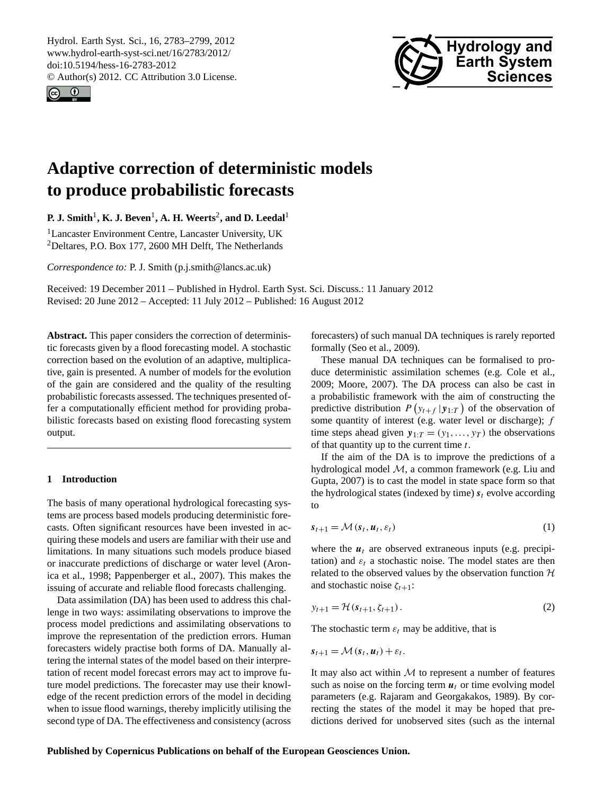<span id="page-0-0"></span>Hydrol. Earth Syst. Sci., 16, 2783–2799, 2012 www.hydrol-earth-syst-sci.net/16/2783/2012/ doi:10.5194/hess-16-2783-2012 © Author(s) 2012. CC Attribution 3.0 License.





# **Adaptive correction of deterministic models to produce probabilistic forecasts**

 ${\bf P.\ J.\ Smith^1,\ K.\ J.\ Beven^1,\ A.\ H.\ Weerts^2,\ and\ D.\ Leedal^1$ 

<sup>1</sup>Lancaster Environment Centre, Lancaster University, UK <sup>2</sup>Deltares, P.O. Box 177, 2600 MH Delft, The Netherlands

*Correspondence to:* P. J. Smith (p.j.smith@lancs.ac.uk)

Received: 19 December 2011 – Published in Hydrol. Earth Syst. Sci. Discuss.: 11 January 2012 Revised: 20 June 2012 – Accepted: 11 July 2012 – Published: 16 August 2012

**Abstract.** This paper considers the correction of deterministic forecasts given by a flood forecasting model. A stochastic correction based on the evolution of an adaptive, multiplicative, gain is presented. A number of models for the evolution of the gain are considered and the quality of the resulting probabilistic forecasts assessed. The techniques presented offer a computationally efficient method for providing probabilistic forecasts based on existing flood forecasting system output.

### **1 Introduction**

The basis of many operational hydrological forecasting systems are process based models producing deterministic forecasts. Often significant resources have been invested in acquiring these models and users are familiar with their use and limitations. In many situations such models produce biased or inaccurate predictions of discharge or water level [\(Aron](#page-15-0)[ica et al.,](#page-15-0) [1998;](#page-15-0) [Pappenberger et al.,](#page-15-1) [2007\)](#page-15-1). This makes the issuing of accurate and reliable flood forecasts challenging.

Data assimilation (DA) has been used to address this challenge in two ways: assimilating observations to improve the process model predictions and assimilating observations to improve the representation of the prediction errors. Human forecasters widely practise both forms of DA. Manually altering the internal states of the model based on their interpretation of recent model forecast errors may act to improve future model predictions. The forecaster may use their knowledge of the recent prediction errors of the model in deciding when to issue flood warnings, thereby implicitly utilising the second type of DA. The effectiveness and consistency (across

forecasters) of such manual DA techniques is rarely reported formally [\(Seo et al.,](#page-16-0) [2009\)](#page-16-0).

These manual DA techniques can be formalised to produce deterministic assimilation schemes (e.g. [Cole et al.,](#page-15-2) [2009;](#page-15-2) [Moore,](#page-15-3) [2007\)](#page-15-3). The DA process can also be cast in a probabilistic framework with the aim of constructing the predictive distribution  $P(y_{t+f} | y_{1:T})$  of the observation of some quantity of interest (e.g. water level or discharge);  $f$ time steps ahead given  $y_{1:T} = (y_1, \ldots, y_T)$  the observations of that quantity up to the current time  $t$ .

If the aim of the DA is to improve the predictions of a hydrological model  $M$ , a common framework (e.g. [Liu and](#page-15-4) [Gupta,](#page-15-4) [2007\)](#page-15-4) is to cast the model in state space form so that the hydrological states (indexed by time)  $s_t$  evolve according to

$$
s_{t+1} = \mathcal{M}(s_t, \boldsymbol{u}_t, \varepsilon_t)
$$
 (1)

where the  $u_t$  are observed extraneous inputs (e.g. precipitation) and  $\varepsilon_t$  a stochastic noise. The model states are then related to the observed values by the observation function  $H$ and stochastic noise  $\zeta_{t+1}$ :

$$
y_{t+1} = \mathcal{H}(s_{t+1}, \zeta_{t+1}).
$$
 (2)

The stochastic term  $\varepsilon_t$  may be additive, that is

$$
s_{t+1} = \mathcal{M}(s_t, u_t) + \varepsilon_t.
$$

It may also act within  $M$  to represent a number of features such as noise on the forcing term  $u_t$  or time evolving model parameters (e.g. [Rajaram and Georgakakos,](#page-15-5) [1989\)](#page-15-5). By correcting the states of the model it may be hoped that predictions derived for unobserved sites (such as the internal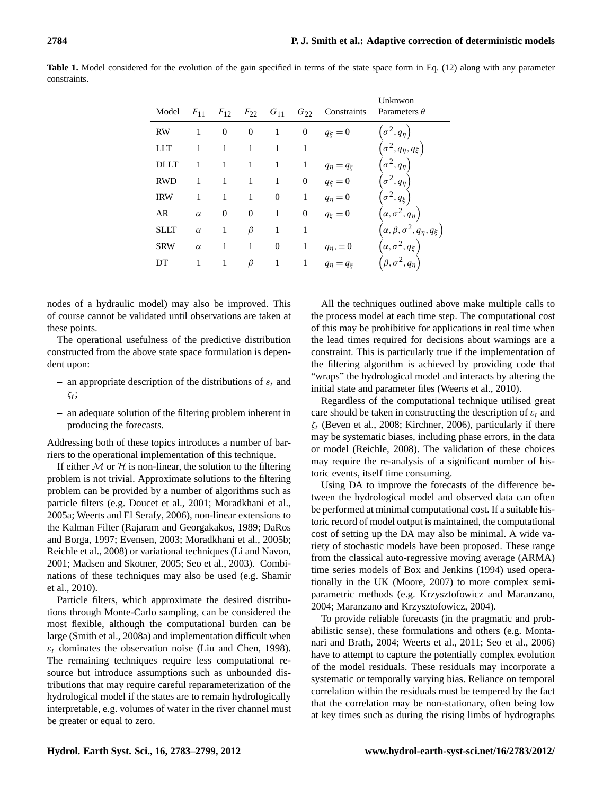| Model       | $F_{11}$ | $F_{12}$       | $F_{22}$ $G_{11}$ |                  | $G_{22}$       | Constraints          | Unknwon<br>Parameters $\theta$                   |
|-------------|----------|----------------|-------------------|------------------|----------------|----------------------|--------------------------------------------------|
| <b>RW</b>   | 1        | $\overline{0}$ | $\overline{0}$    | 1                | $\overline{0}$ | $q_{\xi}=0$          | $(\sigma^2,q_\eta)$                              |
| LLT         | 1        | 1              | 1                 | 1                | 1              |                      | $\left(\sigma^2,q_\eta,q_\xi\right)$             |
| DLLT        | 1        | 1              | 1                 | 1                | 1              | $q_{\eta} = q_{\xi}$ | $\sigma^2, q_\eta$                               |
| <b>RWD</b>  | 1        | 1              | 1                 | 1                | $\theta$       | $q_{\xi}=0$          | $\sigma^2, q_{\eta}$                             |
| <b>IRW</b>  | 1        | 1              | 1                 | $\overline{0}$   | 1              | $q_{\eta}=0$         | $\sigma^2, q_\xi$                                |
| AR          | $\alpha$ | $\mathbf{0}$   | $\overline{0}$    | 1                | $\overline{0}$ | $q_{\xi}=0$          | $\left(\alpha,\sigma^2,q_\eta\right)$            |
| <b>SLLT</b> | $\alpha$ | 1              | $\beta$           | 1                | 1              |                      | $\Bigl(\alpha,\beta,\sigma^2,q_\eta,q_\xi\Bigr)$ |
| <b>SRW</b>  | $\alpha$ | 1              | 1                 | $\boldsymbol{0}$ | 1              | $q_{\eta} = 0$       | $\left(\alpha,\sigma^2,q_\xi\right)$             |
| DT          | 1        | 1              | $\beta$           | $\mathbf{1}$     | 1              | $q_{\eta} = q_{\xi}$ |                                                  |

<span id="page-1-0"></span>**Table 1.** Model considered for the evolution of the gain specified in terms of the state space form in Eq. [\(12\)](#page-4-0) along with any parameter constraints.

nodes of a hydraulic model) may also be improved. This of course cannot be validated until observations are taken at these points.

The operational usefulness of the predictive distribution constructed from the above state space formulation is dependent upon:

- **–** an appropriate description of the distributions of  $\varepsilon_t$  and  $\zeta_t$ ;
- **–** an adequate solution of the filtering problem inherent in producing the forecasts.

Addressing both of these topics introduces a number of barriers to the operational implementation of this technique.

If either  $M$  or  $H$  is non-linear, the solution to the filtering problem is not trivial. Approximate solutions to the filtering problem can be provided by a number of algorithms such as particle filters (e.g. [Doucet et al.,](#page-15-6) [2001;](#page-15-6) [Moradkhani et al.,](#page-15-7) [2005a;](#page-15-7) [Weerts and El Serafy,](#page-16-1) [2006\)](#page-16-1), non-linear extensions to the Kalman Filter [\(Rajaram and Georgakakos,](#page-15-5) [1989;](#page-15-5) [DaRos](#page-15-8) [and Borga,](#page-15-8) [1997;](#page-15-8) [Evensen,](#page-15-9) [2003;](#page-15-9) [Moradkhani et al.,](#page-15-10) [2005b;](#page-15-10) [Reichle et al.,](#page-15-11) [2008\)](#page-15-11) or variational techniques [\(Li and Navon,](#page-15-12) [2001;](#page-15-12) [Madsen and Skotner,](#page-15-13) [2005;](#page-15-13) [Seo et al.,](#page-15-14) [2003\)](#page-15-14). Combinations of these techniques may also be used (e.g. [Shamir](#page-16-2) [et al.,](#page-16-2) [2010\)](#page-16-2).

Particle filters, which approximate the desired distributions through Monte-Carlo sampling, can be considered the most flexible, although the computational burden can be large [\(Smith et al.,](#page-16-3) [2008a\)](#page-16-3) and implementation difficult when  $\varepsilon_t$  dominates the observation noise [\(Liu and Chen,](#page-15-15) [1998\)](#page-15-15). The remaining techniques require less computational resource but introduce assumptions such as unbounded distributions that may require careful reparameterization of the hydrological model if the states are to remain hydrologically interpretable, e.g. volumes of water in the river channel must be greater or equal to zero.

All the techniques outlined above make multiple calls to the process model at each time step. The computational cost of this may be prohibitive for applications in real time when the lead times required for decisions about warnings are a constraint. This is particularly true if the implementation of the filtering algorithm is achieved by providing code that "wraps" the hydrological model and interacts by altering the initial state and parameter files [\(Weerts et al.,](#page-16-4) [2010\)](#page-16-4).

Regardless of the computational technique utilised great care should be taken in constructing the description of  $\varepsilon_t$  and  $\zeta_t$  [\(Beven et al.,](#page-15-16) [2008;](#page-15-16) [Kirchner,](#page-15-17) [2006\)](#page-15-17), particularly if there may be systematic biases, including phase errors, in the data or model [\(Reichle,](#page-15-18) [2008\)](#page-15-18). The validation of these choices may require the re-analysis of a significant number of historic events, itself time consuming.

Using DA to improve the forecasts of the difference between the hydrological model and observed data can often be performed at minimal computational cost. If a suitable historic record of model output is maintained, the computational cost of setting up the DA may also be minimal. A wide variety of stochastic models have been proposed. These range from the classical auto-regressive moving average (ARMA) time series models of [Box and Jenkins](#page-15-19) [\(1994\)](#page-15-19) used operationally in the UK [\(Moore,](#page-15-3) [2007\)](#page-15-3) to more complex semiparametric methods (e.g. [Krzysztofowicz and Maranzano,](#page-15-20) [2004;](#page-15-20) [Maranzano and Krzysztofowicz,](#page-15-21) [2004\)](#page-15-21).

To provide reliable forecasts (in the pragmatic and probabilistic sense), these formulations and others (e.g. [Monta](#page-15-22)[nari and Brath,](#page-15-22) [2004;](#page-15-22) [Weerts et al.,](#page-16-5) [2011;](#page-16-5) [Seo et al.,](#page-15-23) [2006\)](#page-15-23) have to attempt to capture the potentially complex evolution of the model residuals. These residuals may incorporate a systematic or temporally varying bias. Reliance on temporal correlation within the residuals must be tempered by the fact that the correlation may be non-stationary, often being low at key times such as during the rising limbs of hydrographs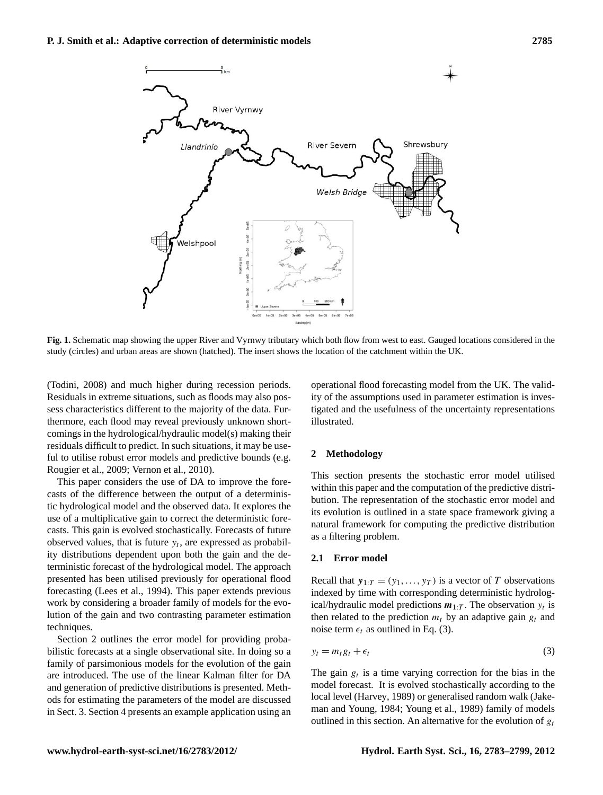

<span id="page-2-3"></span>**Fig. 1.** Schematic map showing the upper River and Vyrnwy tributary which both flow from west to east. Gauged locations considered in the study (circles) and urban areas are shown (hatched). The insert shows the location of the catchment within the UK.

[\(Todini,](#page-16-6) [2008\)](#page-16-6) and much higher during recession periods. Residuals in extreme situations, such as floods may also possess characteristics different to the majority of the data. Furthermore, each flood may reveal previously unknown shortcomings in the hydrological/hydraulic model(s) making their residuals difficult to predict. In such situations, it may be useful to utilise robust error models and predictive bounds (e.g. [Rougier et al.,](#page-15-24) [2009;](#page-15-24) [Vernon et al.,](#page-16-7) [2010\)](#page-16-7).

This paper considers the use of DA to improve the forecasts of the difference between the output of a deterministic hydrological model and the observed data. It explores the use of a multiplicative gain to correct the deterministic forecasts. This gain is evolved stochastically. Forecasts of future observed values, that is future  $y_t$ , are expressed as probability distributions dependent upon both the gain and the deterministic forecast of the hydrological model. The approach presented has been utilised previously for operational flood forecasting [\(Lees et al.,](#page-15-25) [1994\)](#page-15-25). This paper extends previous work by considering a broader family of models for the evolution of the gain and two contrasting parameter estimation techniques.

Section [2](#page-2-0) outlines the error model for providing probabilistic forecasts at a single observational site. In doing so a family of parsimonious models for the evolution of the gain are introduced. The use of the linear Kalman filter for DA and generation of predictive distributions is presented. Methods for estimating the parameters of the model are discussed in Sect. [3.](#page-5-0) Section [4](#page-7-0) presents an example application using an operational flood forecasting model from the UK. The validity of the assumptions used in parameter estimation is investigated and the usefulness of the uncertainty representations illustrated.

#### <span id="page-2-0"></span>**2 Methodology**

This section presents the stochastic error model utilised within this paper and the computation of the predictive distribution. The representation of the stochastic error model and its evolution is outlined in a state space framework giving a natural framework for computing the predictive distribution as a filtering problem.

#### <span id="page-2-2"></span>**2.1 Error model**

Recall that  $y_{1:T} = (y_1, \ldots, y_T)$  is a vector of T observations indexed by time with corresponding deterministic hydrological/hydraulic model predictions  $m_{1:T}$ . The observation  $y_t$  is then related to the prediction  $m_t$  by an adaptive gain  $g_t$  and noise term  $\epsilon_t$  as outlined in Eq. [\(3\)](#page-2-1).

<span id="page-2-1"></span>
$$
y_t = m_t g_t + \epsilon_t \tag{3}
$$

The gain  $g_t$  is a time varying correction for the bias in the model forecast. It is evolved stochastically according to the local level [\(Harvey,](#page-15-26) [1989\)](#page-15-26) or generalised random walk [\(Jake](#page-15-27)[man and Young,](#page-15-27) [1984;](#page-15-27) [Young et al.,](#page-16-8) [1989\)](#page-16-8) family of models outlined in this section. An alternative for the evolution of  $g_t$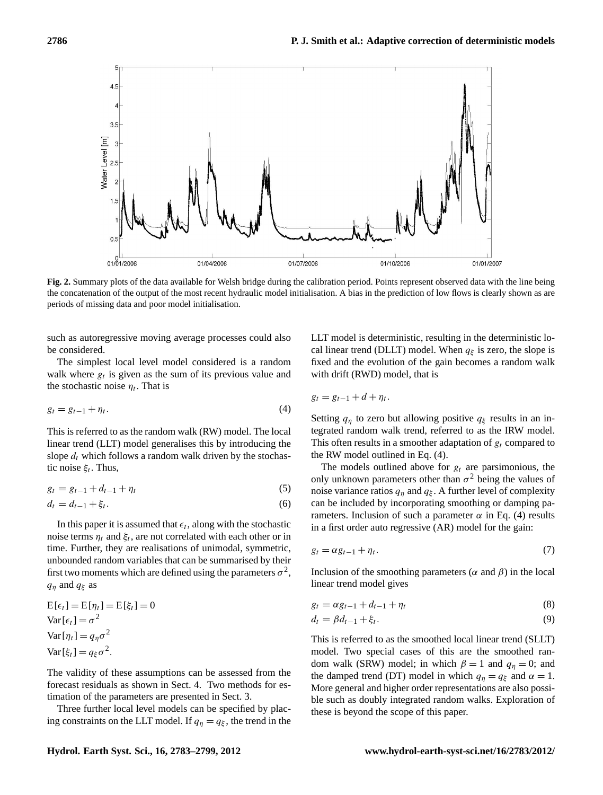

<span id="page-3-1"></span>**Fig. 2.** Summary plots of the data available for Welsh bridge during the calibration period. Points represent observed data with the line being the concatenation of the output of the most recent hydraulic model initialisation. A bias in the prediction of low flows is clearly shown as are periods of missing data and poor model initialisation.

such as autoregressive moving average processes could also be considered.

<span id="page-3-0"></span>The simplest local level model considered is a random walk where  $g_t$  is given as the sum of its previous value and the stochastic noise  $\eta_t$ . That is

$$
g_t = g_{t-1} + \eta_t. \tag{4}
$$

This is referred to as the random walk (RW) model. The local linear trend (LLT) model generalises this by introducing the slope  $d_t$  which follows a random walk driven by the stochastic noise  $\xi_t$ . Thus,

$$
g_t = g_{t-1} + d_{t-1} + \eta_t \tag{5}
$$

$$
d_t = d_{t-1} + \xi_t. \t\t(6)
$$

In this paper it is assumed that  $\epsilon_t$ , along with the stochastic noise terms  $\eta_t$  and  $\xi_t$ , are not correlated with each other or in time. Further, they are realisations of unimodal, symmetric, unbounded random variables that can be summarised by their first two moments which are defined using the parameters  $\sigma^2$ ,  $q_n$  and  $q_\xi$  as

$$
E[\epsilon_t] = E[\eta_t] = E[\xi_t] = 0
$$
  
Var[ $\epsilon_t$ ] =  $\sigma^2$   
Var[ $\eta_t$ ] =  $q_\eta \sigma^2$   
Var[ $\xi_t$ ] =  $q_\xi \sigma^2$ .

The validity of these assumptions can be assessed from the forecast residuals as shown in Sect. [4.](#page-7-0) Two methods for estimation of the parameters are presented in Sect. [3.](#page-5-0)

Three further local level models can be specified by placing constraints on the LLT model. If  $q_{\eta} = q_{\xi}$ , the trend in the LLT model is deterministic, resulting in the deterministic local linear trend (DLLT) model. When  $q_{\xi}$  is zero, the slope is fixed and the evolution of the gain becomes a random walk with drift (RWD) model, that is

$$
g_t = g_{t-1} + d + \eta_t.
$$

Setting  $q_{\eta}$  to zero but allowing positive  $q_{\xi}$  results in an integrated random walk trend, referred to as the IRW model. This often results in a smoother adaptation of  $g_t$  compared to the RW model outlined in Eq. [\(4\)](#page-3-0).

The models outlined above for  $g_t$  are parsimonious, the only unknown parameters other than  $\sigma^2$  being the values of noise variance ratios  $q_{\eta}$  and  $q_{\xi}$ . A further level of complexity can be included by incorporating smoothing or damping parameters. Inclusion of such a parameter  $\alpha$  in Eq. [\(4\)](#page-3-0) results in a first order auto regressive (AR) model for the gain:

$$
g_t = \alpha g_{t-1} + \eta_t. \tag{7}
$$

Inclusion of the smoothing parameters ( $\alpha$  and  $\beta$ ) in the local linear trend model gives

$$
g_t = \alpha g_{t-1} + d_{t-1} + \eta_t \tag{8}
$$

$$
d_t = \beta d_{t-1} + \xi_t. \tag{9}
$$

This is referred to as the smoothed local linear trend (SLLT) model. Two special cases of this are the smoothed random walk (SRW) model; in which  $\beta = 1$  and  $q_n = 0$ ; and the damped trend (DT) model in which  $q_n = q_{\xi}$  and  $\alpha = 1$ . More general and higher order representations are also possible such as doubly integrated random walks. Exploration of these is beyond the scope of this paper.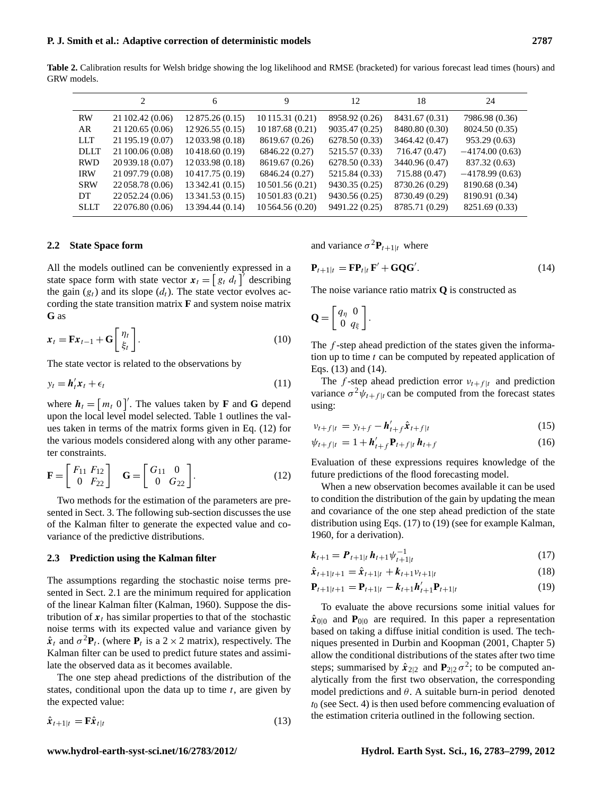**Table 2.** Calibration results for Welsh bridge showing the log likelihood and RMSE (bracketed) for various forecast lead times (hours) and GRW models.

<span id="page-4-4"></span>

|             | 2                | 6                | 9                  | 12             | 18             | 24               |
|-------------|------------------|------------------|--------------------|----------------|----------------|------------------|
| <b>RW</b>   | 21 102.42 (0.06) | 12 875.26 (0.15) | 10 115.31 (0.21)   | 8958.92 (0.26) | 8431.67 (0.31) | 7986.98 (0.36)   |
| AR          | 21 120.65 (0.06) | 12926.55(0.15)   | 10 187.68 (0.21)   | 9035.47 (0.25) | 8480.80 (0.30) | 8024.50 (0.35)   |
| <b>LLT</b>  | 21 195.19 (0.07) | 12 033.98 (0.18) | 8619.67 (0.26)     | 6278.50 (0.33) | 3464.42 (0.47) | 953.29 (0.63)    |
| <b>DLLT</b> | 21 100.06 (0.08) | 10418.60(0.19)   | 6846.22 (0.27)     | 5215.57 (0.33) | 716.47 (0.47)  | $-4174.00(0.63)$ |
| <b>RWD</b>  | 20 939.18 (0.07) | 12 033.98 (0.18) | 8619.67 (0.26)     | 6278.50 (0.33) | 3440.96 (0.47) | 837.32 (0.63)    |
| <b>IRW</b>  | 21 097.79 (0.08) | 10417.75 (0.19)  | 6846.24 (0.27)     | 5215.84 (0.33) | 715.88 (0.47)  | $-4178.99(0.63)$ |
| <b>SRW</b>  | 22 058.78 (0.06) | 13 342.41 (0.15) | $10\,501.56(0.21)$ | 9430.35 (0.25) | 8730.26 (0.29) | 8190.68 (0.34)   |
| DT.         | 22 052.24 (0.06) | 13 341.53 (0.15) | $10\,501.83(0.21)$ | 9430.56 (0.25) | 8730.49 (0.29) | 8190.91 (0.34)   |
| <b>SLLT</b> | 22 076.80 (0.06) | 13 394.44 (0.14) | 10 564.56 (0.20)   | 9491.22 (0.25) | 8785.71 (0.29) | 8251.69 (0.33)   |
|             |                  |                  |                    |                |                |                  |

#### **2.2 State Space form**

All the models outlined can be conveniently expressed in a state space form with state vector  $\mathbf{x}_t = \begin{bmatrix} g_t & d_t \end{bmatrix}^T$  describing the gain  $(g_t)$  and its slope  $(d_t)$ . The state vector evolves according the state transition matrix **F** and system noise matrix **G** as

$$
\mathbf{x}_t = \mathbf{F}\mathbf{x}_{t-1} + \mathbf{G} \begin{bmatrix} \eta_t \\ \xi_t \end{bmatrix} . \tag{10}
$$

The state vector is related to the observations by

$$
y_t = \mathbf{h}'_t \mathbf{x}_t + \epsilon_t \tag{11}
$$

where  $h_t = [m_t \ 0]^\prime$ . The values taken by **F** and **G** depend upon the local level model selected. Table [1](#page-1-0) outlines the values taken in terms of the matrix forms given in Eq. [\(12\)](#page-4-0) for the various models considered along with any other parameter constraints.

<span id="page-4-0"></span>
$$
\mathbf{F} = \begin{bmatrix} F_{11} & F_{12} \\ 0 & F_{22} \end{bmatrix} \quad \mathbf{G} = \begin{bmatrix} G_{11} & 0 \\ 0 & G_{22} \end{bmatrix} . \tag{12}
$$

Two methods for the estimation of the parameters are presented in Sect. [3.](#page-5-0) The following sub-section discusses the use of the Kalman filter to generate the expected value and covariance of the predictive distributions.

#### **2.3 Prediction using the Kalman filter**

The assumptions regarding the stochastic noise terms presented in Sect. [2.1](#page-2-2) are the minimum required for application of the linear Kalman filter [\(Kalman,](#page-15-28) [1960\)](#page-15-28). Suppose the distribution of  $x_t$  has similar properties to that of the stochastic noise terms with its expected value and variance given by  $\hat{\mathbf{x}}_t$  and  $\sigma^2 \mathbf{P}_t$ . (where  $\mathbf{P}_t$  is a 2 × 2 matrix), respectively. The Kalman filter can be used to predict future states and assimilate the observed data as it becomes available.

<span id="page-4-1"></span>The one step ahead predictions of the distribution of the states, conditional upon the data up to time  $t$ , are given by the expected value:

$$
\hat{\mathbf{x}}_{t+1|t} = \mathbf{F}\hat{\mathbf{x}}_{t|t} \tag{13}
$$

<span id="page-4-2"></span>and variance  $\sigma^2 \mathbf{P}_{t+1|t}$  where

$$
\mathbf{P}_{t+1|t} = \mathbf{F} \mathbf{P}_{t|t} \mathbf{F}' + \mathbf{G} \mathbf{Q} \mathbf{G}'. \tag{14}
$$

The noise variance ratio matrix **Q** is constructed as

$$
\mathbf{Q} = \left[ \begin{array}{cc} q_{\eta} & 0 \\ 0 & q_{\xi} \end{array} \right].
$$

The  $f$ -step ahead prediction of the states given the information up to time  $t$  can be computed by repeated application of Eqs. [\(13\)](#page-4-1) and [\(14\)](#page-4-2).

The f-step ahead prediction error  $v_{t+f|t}$  and prediction variance  $\sigma^2 \psi_{t+f|t}$  can be computed from the forecast states using:

$$
v_{t+f|t} = y_{t+f} - h'_{t+f} \hat{x}_{t+f|t}
$$
 (15)

$$
\psi_{t+f|t} = 1 + \mathbf{h}'_{t+f} \mathbf{P}_{t+f|t} \mathbf{h}_{t+f}
$$
 (16)

Evaluation of these expressions requires knowledge of the future predictions of the flood forecasting model.

When a new observation becomes available it can be used to condition the distribution of the gain by updating the mean and covariance of the one step ahead prediction of the state distribution using Eqs. [\(17\)](#page-4-3) to [\(19\)](#page-4-3) (see for example [Kalman,](#page-15-28) [1960,](#page-15-28) for a derivation).

$$
\boldsymbol{k}_{t+1} = \boldsymbol{P}_{t+1|t} \, \boldsymbol{h}_{t+1} \psi_{t+1|t}^{-1} \tag{17}
$$

<span id="page-4-3"></span>
$$
\hat{\mathbf{x}}_{t+1|t+1} = \hat{\mathbf{x}}_{t+1|t} + \mathbf{k}_{t+1} \nu_{t+1|t} \tag{18}
$$

$$
\mathbf{P}_{t+1|t+1} = \mathbf{P}_{t+1|t} - k_{t+1}h'_{t+1}\mathbf{P}_{t+1|t}
$$
 (19)

To evaluate the above recursions some initial values for  $\hat{x}_{0|0}$  and  $P_{0|0}$  are required. In this paper a representation based on taking a diffuse initial condition is used. The techniques presented in [Durbin and Koopman](#page-15-29) [\(2001,](#page-15-29) Chapter 5) allow the conditional distributions of the states after two time steps; summarised by  $\hat{x}_{2|2}$  and  $P_{2|2}\sigma^2$ ; to be computed analytically from the first two observation, the corresponding model predictions and  $\theta$ . A suitable burn-in period denoted  $t_0$  (see Sect. [4\)](#page-7-0) is then used before commencing evaluation of the estimation criteria outlined in the following section.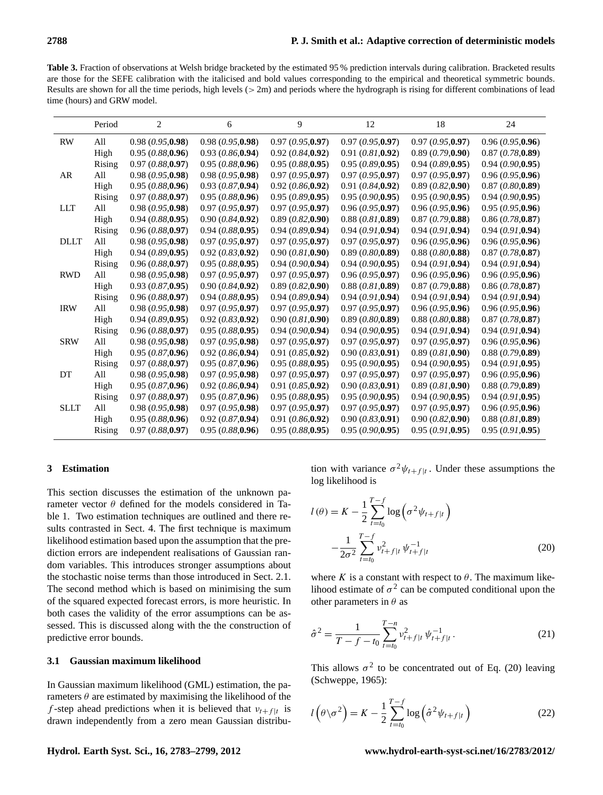<span id="page-5-3"></span>**Table 3.** Fraction of observations at Welsh bridge bracketed by the estimated 95 % prediction intervals during calibration. Bracketed results are those for the SEFE calibration with the italicised and bold values corresponding to the empirical and theoretical symmetric bounds. Results are shown for all the time periods, high levels  $(> 2m)$  and periods where the hydrograph is rising for different combinations of lead time (hours) and GRW model.

|             | Period | 2                | 6                | 9                 | 12               | 18               | 24                |
|-------------|--------|------------------|------------------|-------------------|------------------|------------------|-------------------|
| <b>RW</b>   | All    | 0.98(0.95, 0.98) | 0.98(0.95, 0.98) | 0.97(0.95,0.97)   | 0.97(0.95,0.97)  | 0.97(0.95,0.97)  | 0.96(0.95,0.96)   |
|             | High   | 0.95(0.88, 0.96) | 0.93(0.86, 0.94) | 0.92(0.84, 0.92)  | 0.91(0.81, 0.92) | 0.89(0.79, 0.90) | 0.87(0.78, 0.89)  |
|             | Rising | 0.97(0.88, 0.97) | 0.95(0.88, 0.96) | 0.95(0.88, 0.95)  | 0.95(0.89, 0.95) | 0.94(0.89, 0.95) | 0.94(0.90, 0.95)  |
| AR          | All    | 0.98(0.95, 0.98) | 0.98(0.95,0.98)  | 0.97(0.95,0.97)   | 0.97(0.95,0.97)  | 0.97(0.95,0.97)  | 0.96(0.95,0.96)   |
|             | High   | 0.95(0.88, 0.96) | 0.93(0.87, 0.94) | 0.92(0.86, 0.92)  | 0.91(0.84, 0.92) | 0.89(0.82, 0.90) | 0.87(0.80, 0.89)  |
|             | Rising | 0.97(0.88, 0.97) | 0.95(0.88,0.96)  | 0.95(0.89, 0.95)  | 0.95(0.90, 0.95) | 0.95(0.90.0.95)  | 0.94(0.90, 0.95)  |
| <b>LLT</b>  | All    | 0.98(0.95, 0.98) | 0.97(0.95,0.97)  | 0.97(0.95,0.97)   | 0.96(0.95, 0.97) | 0.96(0.95,0.96)  | 0.95(0.95, 0.96)  |
|             | High   | 0.94(0.88, 0.95) | 0.90(0.84, 0.92) | 0.89(0.82, 0.90)  | 0.88(0.81, 0.89) | 0.87(0.79,0.88)  | 0.86(0.78, 0.87)  |
|             | Rising | 0.96(0.88, 0.97) | 0.94(0.88, 0.95) | 0.94(0.89, 0.94)  | 0.94(0.91, 0.94) | 0.94(0.91,0.94)  | 0.94(0.91,0.94)   |
| <b>DLLT</b> | All    | 0.98(0.95, 0.98) | 0.97(0.95, 0.97) | 0.97(0.95, 0.97)  | 0.97(0.95,0.97)  | 0.96(0.95,0.96)  | 0.96(0.95,0.96)   |
|             | High   | 0.94(0.89, 0.95) | 0.92(0.83, 0.92) | 0.90(0.81, 0.90)  | 0.89(0.80, 0.89) | 0.88(0.80, 0.88) | 0.87(0.78, 0.87)  |
|             | Rising | 0.96(0.88, 0.97) | 0.95(0.88, 0.95) | 0.94(0.90.0.94)   | 0.94(0.90, 0.95) | 0.94(0.91,0.94)  | 0.94(0.91, 0.94)  |
| <b>RWD</b>  | All    | 0.98(0.95,0.98)  | 0.97(0.95,0.97)  | 0.97(0.95,0.97)   | 0.96(0.95,0.97)  | 0.96(0.95,0.96)  | 0.96(0.95,0.96)   |
|             | High   | 0.93(0.87, 0.95) | 0.90(0.84, 0.92) | 0.89(0.82, 0.90)  | 0.88(0.81, 0.89) | 0.87(0.79, 0.88) | 0.86(0.78, 0.87)  |
|             | Rising | 0.96(0.88, 0.97) | 0.94(0.88, 0.95) | 0.94(0.89, 0.94)  | 0.94(0.91, 0.94) | 0.94(0.91,0.94)  | 0.94(0.91,0.94)   |
| <b>IRW</b>  | All    | 0.98(0.95, 0.98) | 0.97(0.95,0.97)  | 0.97(0.95,0.97)   | 0.97(0.95,0.97)  | 0.96(0.95,0.96)  | 0.96(0.95,0.96)   |
|             | High   | 0.94(0.89, 0.95) | 0.92(0.83, 0.92) | 0.90 (0.81, 0.90) | 0.89(0.80, 0.89) | 0.88(0.80, 0.88) | 0.87(0.78, 0.87)  |
|             | Rising | 0.96(0.88, 0.97) | 0.95(0.88, 0.95) | 0.94(0.90, 0.94)  | 0.94(0.90, 0.95) | 0.94(0.91, 0.94) | 0.94(0.91, 0.94)  |
| <b>SRW</b>  | All    | 0.98(0.95, 0.98) | 0.97(0.95,0.98)  | 0.97(0.95,0.97)   | 0.97(0.95,0.97)  | 0.97(0.95,0.97)  | 0.96(0.95,0.96)   |
|             | High   | 0.95(0.87,0.96)  | 0.92(0.86, 0.94) | 0.91(0.85, 0.92)  | 0.90(0.83, 0.91) | 0.89(0.81, 0.90) | 0.88(0.79, 0.89)  |
|             | Rising | 0.97(0.88, 0.97) | 0.95(0.87,0.96)  | 0.95(0.88, 0.95)  | 0.95(0.90, 0.95) | 0.94(0.90, 0.95) | 0.94 (0.91, 0.95) |
| DT          | All    | 0.98(0.95, 0.98) | 0.97(0.95,0.98)  | 0.97(0.95,0.97)   | 0.97(0.95, 0.97) | 0.97(0.95,0.97)  | 0.96(0.95,0.96)   |
|             | High   | 0.95(0.87, 0.96) | 0.92(0.86, 0.94) | 0.91(0.85, 0.92)  | 0.90(0.83, 0.91) | 0.89(0.81, 0.90) | 0.88(0.79, 0.89)  |
|             | Rising | 0.97(0.88, 0.97) | 0.95(0.87,0.96)  | 0.95(0.88, 0.95)  | 0.95(0.90, 0.95) | 0.94(0.90,0.95)  | 0.94(0.91, 0.95)  |
| <b>SLLT</b> | All    | 0.98(0.95,0.98)  | 0.97(0.95,0.98)  | 0.97(0.95, 0.97)  | 0.97(0.95,0.97)  | 0.97(0.95, 0.97) | 0.96(0.95,0.96)   |
|             | High   | 0.95(0.88, 0.96) | 0.92(0.87, 0.94) | 0.91(0.86, 0.92)  | 0.90(0.83, 0.91) | 0.90(0.82, 0.90) | 0.88(0.81, 0.89)  |
|             | Rising | 0.97(0.88, 0.97) | 0.95(0.88, 0.96) | 0.95(0.88, 0.95)  | 0.95(0.90, 0.95) | 0.95(0.91, 0.95) | 0.95(0.91, 0.95)  |

#### <span id="page-5-0"></span>**3 Estimation**

This section discusses the estimation of the unknown parameter vector  $\theta$  defined for the models considered in Table [1.](#page-1-0) Two estimation techniques are outlined and there results contrasted in Sect. [4.](#page-7-0) The first technique is maximum likelihood estimation based upon the assumption that the prediction errors are independent realisations of Gaussian random variables. This introduces stronger assumptions about the stochastic noise terms than those introduced in Sect. [2.1.](#page-2-2) The second method which is based on minimising the sum of the squared expected forecast errors, is more heuristic. In both cases the validity of the error assumptions can be assessed. This is discussed along with the the construction of predictive error bounds.

# **3.1 Gaussian maximum likelihood**

In Gaussian maximum likelihood (GML) estimation, the parameters  $\theta$  are estimated by maximising the likelihood of the f-step ahead predictions when it is believed that  $v_{t}$ + $f |t$  is drawn independently from a zero mean Gaussian distribu-

tion with variance  $\sigma^2 \psi_{t+f|t}$ . Under these assumptions the log likelihood is

<span id="page-5-1"></span>
$$
l(\theta) = K - \frac{1}{2} \sum_{t=t_0}^{T-f} \log \left( \sigma^2 \psi_{t+f|t} \right)
$$

$$
- \frac{1}{2\sigma^2} \sum_{t=t_0}^{T-f} \psi_{t+f|t}^2 \psi_{t+f|t}^{-1}
$$
(20)

<span id="page-5-2"></span>where K is a constant with respect to  $\theta$ . The maximum likelihood estimate of  $\sigma^2$  can be computed conditional upon the other parameters in  $\theta$  as

$$
\hat{\sigma}^2 = \frac{1}{T - f - t_0} \sum_{t = t_0}^{T - n} \nu_{t + f|t}^2 \psi_{t + f|t}^{-1}.
$$
\n(21)

This allows  $\sigma^2$  to be concentrated out of Eq. [\(20\)](#page-5-1) leaving [\(Schweppe,](#page-15-30) [1965\)](#page-15-30):

$$
l\left(\theta\backslash\sigma^2\right) = K - \frac{1}{2}\sum_{t=t_0}^{T-f} \log\left(\hat{\sigma}^2 \psi_{t+f|t}\right)
$$
 (22)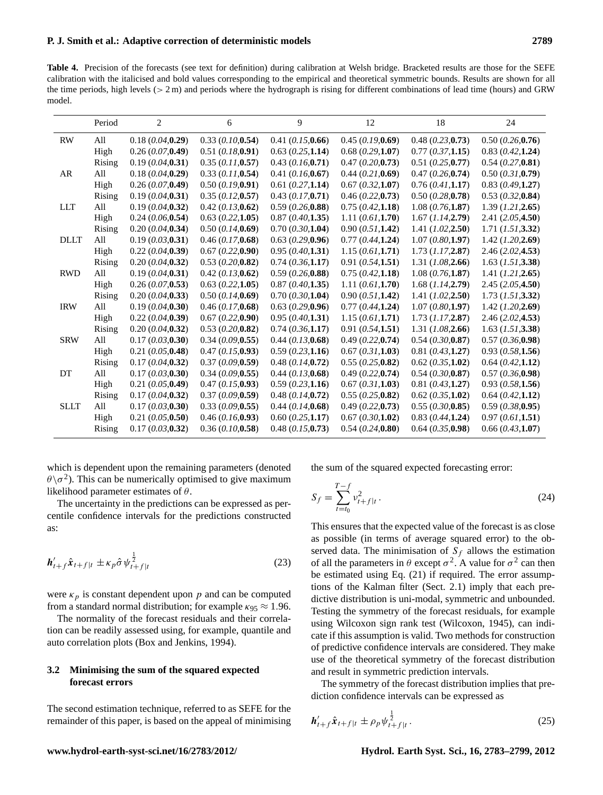<span id="page-6-0"></span>**Table 4.** Precision of the forecasts (see text for definition) during calibration at Welsh bridge. Bracketed results are those for the SEFE calibration with the italicised and bold values corresponding to the empirical and theoretical symmetric bounds. Results are shown for all the time periods, high levels  $(> 2 \text{ m})$  and periods where the hydrograph is rising for different combinations of lead time (hours) and GRW model.

|             | Period | $\overline{c}$        | 6                     | 9                     | 12                | 18                    | 24                    |
|-------------|--------|-----------------------|-----------------------|-----------------------|-------------------|-----------------------|-----------------------|
| <b>RW</b>   | All    | 0.18(0.04, 0.29)      | 0.33(0.10, 0.54)      | 0.41 (0.15, 0.66)     | 0.45(0.19,0.69)   | 0.48(0.23, 0.73)      | $0.50$ $(0.26, 0.76)$ |
|             | High   | 0.26(0.07, 0.49)      | 0.51(0.18,0.91)       | 0.63(0.25,1.14)       | 0.68(0.29,1.07)   | 0.77(0.37,1.15)       | 0.83(0.42, 1.24)      |
|             | Rising | 0.19(0.04, 0.31)      | 0.35(0.11, 0.57)      | 0.43(0.16, 0.71)      | 0.47(0.20, 0.73)  | 0.51(0.25, 0.77)      | 0.54(0.27, 0.81)      |
| AR          | All    | 0.18(0.04, 0.29)      | 0.33(0.11, 0.54)      | 0.41(0.16, 0.67)      | 0.44 (0.21, 0.69) | 0.47(0.26, 0.74)      | $0.50$ $(0.31, 0.79)$ |
|             | High   | 0.26(0.07, 0.49)      | 0.50(0.19, 0.91)      | 0.61(0.27,1.14)       | 0.67(0.32,1.07)   | 0.76(0.41, 1.17)      | 0.83(0.49,1.27)       |
|             | Rising | 0.19(0.04, 0.31)      | 0.35(0.12, 0.57)      | $0.43$ $(0.17, 0.71)$ | 0.46(0.22, 0.73)  | $0.50$ $(0.28, 0.78)$ | 0.53(0.32, 0.84)      |
| <b>LLT</b>  | All    | 0.19(0.04, 0.32)      | $0.42$ $(0.13, 0.62)$ | 0.59(0.26, 0.88)      | 0.75(0.42,1.18)   | 1.08 (0.76, 1.87)     | 1.39 (1.21, 2.65)     |
|             | High   | 0.24(0.06, 0.54)      | 0.63(0.22,1.05)       | 0.87(0.40, 1.35)      | 1.11 (0.61, 1.70) | 1.67 (1.14, 2.79)     | 2.41(2.05, 4.50)      |
|             | Rising | $0.20$ $(0.04, 0.34)$ | 0.50(0.14, 0.69)      | $0.70$ $(0.30,1.04)$  | 0.90(0.51,1.42)   | 1.41 $(I.02, 2.50)$   | 1.71 (1.51, 3.32)     |
| <b>DLLT</b> | All    | 0.19(0.03, 0.31)      | $0.46$ $(0.17, 0.68)$ | 0.63(0.29, 0.96)      | 0.77(0.44, 1.24)  | 1.07(0.80,1.97)       | 1.42 (1.20, 2.69)     |
|             | High   | 0.22(0.04, 0.39)      | 0.67(0.22, 0.90)      | 0.95(0.40, 1.31)      | 1.15(0.61, 1.71)  | $1.73$ $(I.17, 2.87)$ | 2.46(2.02, 4.53)      |
|             | Rising | 0.20 (0.04, 0.32)     | 0.53(0.20, 0.82)      | 0.74(0.36,1.17)       | 0.91(0.54, 1.51)  | 1.31 (1.08, 2.66)     | $1.63$ $(I.51, 3.38)$ |
| <b>RWD</b>  | All    | 0.19(0.04, 0.31)      | $0.42$ $(0.13, 0.62)$ | 0.59(0.26, 0.88)      | 0.75(0.42, 1.18)  | 1.08(0.76, 1.87)      | 1.41 (1.21, 2.65)     |
|             | High   | 0.26(0.07, 0.53)      | $0.63$ $(0.22,1.05)$  | 0.87(0.40, 1.35)      | 1.11 (0.61, 1.70) | $1.68$ $(I.14, 2.79)$ | 2.45(2.05, 4.50)      |
|             | Rising | 0.20 (0.04, 0.33)     | $0.50$ $(0.14, 0.69)$ | $0.70$ $(0.30,1.04)$  | 0.90(0.51, 1.42)  | 1.41 (1.02, 2.50)     | $1.73$ $(I.51, 3.32)$ |
| <b>IRW</b>  | All    | 0.19(0.04, 0.30)      | $0.46$ (0.17,0.68)    | 0.63(0.29, 0.96)      | 0.77(0.44, 1.24)  | 1.07(0.80,1.97)       | $1.42$ (1.20,2.69)    |
|             | High   | 0.22(0.04, 0.39)      | 0.67(0.22, 0.90)      | 0.95(0.40, 1.31)      | 1.15(0.61, 1.71)  | $1.73$ $(I.17, 2.87)$ | 2.46(2.02, 4.53)      |
|             | Rising | $0.20$ $(0.04, 0.32)$ | 0.53(0.20, 0.82)      | $0.74$ $(0.36,1.17)$  | 0.91(0.54, 1.51)  | 1.31 (1.08, 2.66)     | 1.63 (1.51, 3.38)     |
| <b>SRW</b>  | All    | 0.17(0.03, 0.30)      | 0.34(0.09, 0.55)      | $0.44$ $(0.13, 0.68)$ | 0.49(0.22, 0.74)  | 0.54(0.30, 0.87)      | 0.57(0.36, 0.98)      |
|             | High   | 0.21 (0.05, 0.48)     | 0.47(0.15, 0.93)      | 0.59(0.23,1.16)       | 0.67(0.31, 1.03)  | $0.81$ $(0.43, 1.27)$ | 0.93(0.58,1.56)       |
|             | Rising | 0.17(0.04, 0.32)      | 0.37(0.09, 0.59)      | $0.48$ $(0.14, 0.72)$ | 0.55(0.25, 0.82)  | 0.62(0.35,1.02)       | 0.64(0.42,1.12)       |
| DT          | All    | 0.17(0.03, 0.30)      | 0.34(0.09, 0.55)      | $0.44$ $(0.13, 0.68)$ | 0.49(0.22, 0.74)  | 0.54(0.30, 0.87)      | 0.57(0.36, 0.98)      |
|             | High   | 0.21 (0.05, 0.49)     | 0.47(0.15, 0.93)      | 0.59(0.23,1.16)       | 0.67(0.31,1.03)   | 0.81 (0.43, 1.27)     | 0.93(0.58,1.56)       |
|             | Rising | 0.17(0.04, 0.32)      | 0.37(0.09, 0.59)      | $0.48$ $(0.14, 0.72)$ | 0.55(0.25, 0.82)  | $0.62$ $(0.35,1.02)$  | $0.64$ $(0.42,1.12)$  |
| <b>SLLT</b> | All    | 0.17(0.03, 0.30)      | 0.33(0.09, 0.55)      | 0.44(0.14, 0.68)      | 0.49(0.22, 0.73)  | 0.55(0.30, 0.85)      | 0.59(0.38, 0.95)      |
|             | High   | 0.21 (0.05, 0.50)     | 0.46(0.16, 0.93)      | $0.60$ $(0.25,1.17)$  | 0.67(0.30,1.02)   | 0.83(0.44, 1.24)      | 0.97(0.61, 1.51)      |
|             | Rising | 0.17(0.03, 0.32)      | 0.36 (0.10, 0.58)     | $0.48$ $(0.15, 0.73)$ | 0.54(0.24, 0.80)  | $0.64$ $(0.35, 0.98)$ | $0.66$ $(0.43,1.07)$  |

which is dependent upon the remaining parameters (denoted  $\theta \backslash \sigma^2$ ). This can be numerically optimised to give maximum likelihood parameter estimates of  $\theta$ .

The uncertainty in the predictions can be expressed as percentile confidence intervals for the predictions constructed as:

$$
\boldsymbol{h}'_{t+f}\hat{\boldsymbol{x}}_{t+f|t} \pm \kappa_p \hat{\sigma} \psi_{t+f|t}^{\frac{1}{2}}
$$
 (23)

were  $\kappa_p$  is constant dependent upon p and can be computed from a standard normal distribution; for example  $\kappa_{95} \approx 1.96$ .

The normality of the forecast residuals and their correlation can be readily assessed using, for example, quantile and auto correlation plots [\(Box and Jenkins,](#page-15-19) [1994\)](#page-15-19).

# **3.2 Minimising the sum of the squared expected forecast errors**

The second estimation technique, referred to as SEFE for the remainder of this paper, is based on the appeal of minimising the sum of the squared expected forecasting error:

$$
S_f = \sum_{t=t_0}^{T-f} v_{t+f|t}^2.
$$
\n(24)

This ensures that the expected value of the forecast is as close as possible (in terms of average squared error) to the observed data. The minimisation of  $S_f$  allows the estimation of all the parameters in  $\theta$  except  $\sigma^2$ . A value for  $\sigma^2$  can then be estimated using Eq. [\(21\)](#page-5-2) if required. The error assumptions of the Kalman filter (Sect. [2.1\)](#page-2-2) imply that each predictive distribution is uni-modal, symmetric and unbounded. Testing the symmetry of the forecast residuals, for example using Wilcoxon sign rank test [\(Wilcoxon,](#page-16-9) [1945\)](#page-16-9), can indicate if this assumption is valid. Two methods for construction of predictive confidence intervals are considered. They make use of the theoretical symmetry of the forecast distribution and result in symmetric prediction intervals.

The symmetry of the forecast distribution implies that prediction confidence intervals can be expressed as

$$
\bm{h}'_{t+f} \hat{\bm{x}}_{t+f|t} \pm \rho_p \psi_{t+f|t}^{\frac{1}{2}}.
$$
 (25)

#### **www.hydrol-earth-syst-sci.net/16/2783/2012/ Hydrol. Earth Syst. Sci., 16, 2783[–2799,](#page-0-0) 2012**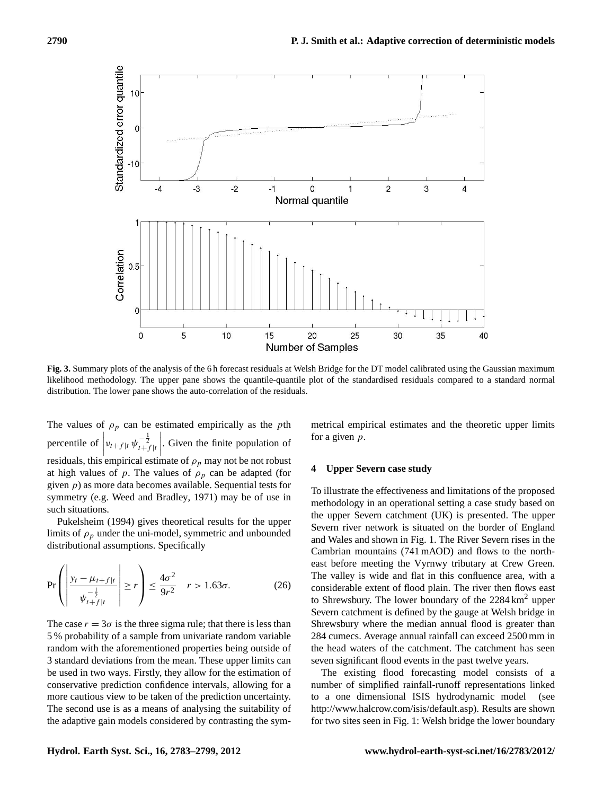

<span id="page-7-1"></span>**Fig. 3.** Summary plots of the analysis of the 6 h forecast residuals at Welsh Bridge for the DT model calibrated using the Gaussian maximum likelihood methodology. The upper pane shows the quantile-quantile plot of the standardised residuals compared to a standard normal distribution. The lower pane shows the auto-correlation of the residuals.

The values of  $\rho_p$  can be estimated empirically as the pth percentile of  $v_{t}$ + $f$ <sub>|t</sub>  $\psi_{t}^{-\frac{1}{2}}$ <sub>t+ $f$ |t</sub> residuals, this empirical estimate of  $\rho_p$  may not be not robust    . Given the finite population of at high values of p. The values of  $\rho_p$  can be adapted (for given  $p$ ) as more data becomes available. Sequential tests for symmetry (e.g. [Weed and Bradley,](#page-16-10) [1971\)](#page-16-10) may be of use in such situations.

[Pukelsheim](#page-15-31) [\(1994\)](#page-15-31) gives theoretical results for the upper limits of  $\rho_p$  under the uni-model, symmetric and unbounded distributional assumptions. Specifically

$$
\Pr\left(\left|\frac{y_t - \mu_{t+f|t}}{\psi_{t+f|t}}\right| \ge r\right) \le \frac{4\sigma^2}{9r^2} \quad r > 1.63\sigma. \tag{26}
$$

The case  $r = 3\sigma$  is the three sigma rule; that there is less than 5 % probability of a sample from univariate random variable random with the aforementioned properties being outside of 3 standard deviations from the mean. These upper limits can be used in two ways. Firstly, they allow for the estimation of conservative prediction confidence intervals, allowing for a more cautious view to be taken of the prediction uncertainty. The second use is as a means of analysing the suitability of the adaptive gain models considered by contrasting the symmetrical empirical estimates and the theoretic upper limits for a given  $p$ .

## <span id="page-7-0"></span>**4 Upper Severn case study**

To illustrate the effectiveness and limitations of the proposed methodology in an operational setting a case study based on the upper Severn catchment (UK) is presented. The upper Severn river network is situated on the border of England and Wales and shown in Fig. [1.](#page-2-3) The River Severn rises in the Cambrian mountains (741 mAOD) and flows to the northeast before meeting the Vyrnwy tributary at Crew Green. The valley is wide and flat in this confluence area, with a considerable extent of flood plain. The river then flows east to Shrewsbury. The lower boundary of the  $2284 \text{ km}^2$  upper Severn catchment is defined by the gauge at Welsh bridge in Shrewsbury where the median annual flood is greater than 284 cumecs. Average annual rainfall can exceed 2500 mm in the head waters of the catchment. The catchment has seen seven significant flood events in the past twelve years.

The existing flood forecasting model consists of a number of simplified rainfall-runoff representations linked to a one dimensional ISIS hydrodynamic model (see [http://www.halcrow.com/isis/default.asp\)](http://www.halcrow.com/isis/default.asp). Results are shown for two sites seen in Fig. [1:](#page-2-3) Welsh bridge the lower boundary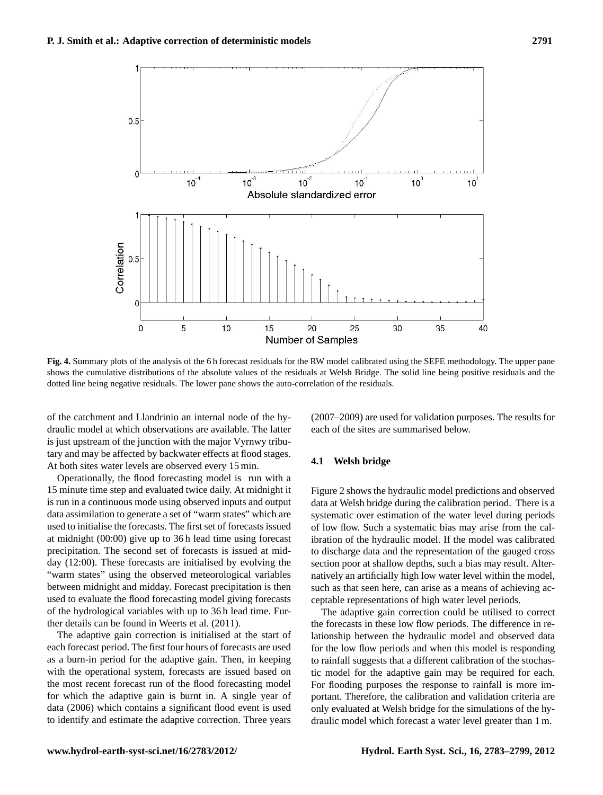

<span id="page-8-0"></span>**Fig. 4.** Summary plots of the analysis of the 6 h forecast residuals for the RW model calibrated using the SEFE methodology. The upper pane shows the cumulative distributions of the absolute values of the residuals at Welsh Bridge. The solid line being positive residuals and the dotted line being negative residuals. The lower pane shows the auto-correlation of the residuals.

of the catchment and Llandrinio an internal node of the hydraulic model at which observations are available. The latter is just upstream of the junction with the major Vyrnwy tributary and may be affected by backwater effects at flood stages. At both sites water levels are observed every 15 min.

Operationally, the flood forecasting model is run with a 15 minute time step and evaluated twice daily. At midnight it is run in a continuous mode using observed inputs and output data assimilation to generate a set of "warm states" which are used to initialise the forecasts. The first set of forecasts issued at midnight (00:00) give up to 36 h lead time using forecast precipitation. The second set of forecasts is issued at midday (12:00). These forecasts are initialised by evolving the "warm states" using the observed meteorological variables between midnight and midday. Forecast precipitation is then used to evaluate the flood forecasting model giving forecasts of the hydrological variables with up to 36 h lead time. Further details can be found in [Weerts et al.](#page-16-5) [\(2011\)](#page-16-5).

The adaptive gain correction is initialised at the start of each forecast period. The first four hours of forecasts are used as a burn-in period for the adaptive gain. Then, in keeping with the operational system, forecasts are issued based on the most recent forecast run of the flood forecasting model for which the adaptive gain is burnt in. A single year of data (2006) which contains a significant flood event is used to identify and estimate the adaptive correction. Three years

(2007–2009) are used for validation purposes. The results for each of the sites are summarised below.

#### **4.1 Welsh bridge**

Figure [2](#page-3-1) shows the hydraulic model predictions and observed data at Welsh bridge during the calibration period. There is a systematic over estimation of the water level during periods of low flow. Such a systematic bias may arise from the calibration of the hydraulic model. If the model was calibrated to discharge data and the representation of the gauged cross section poor at shallow depths, such a bias may result. Alternatively an artificially high low water level within the model, such as that seen here, can arise as a means of achieving acceptable representations of high water level periods.

The adaptive gain correction could be utilised to correct the forecasts in these low flow periods. The difference in relationship between the hydraulic model and observed data for the low flow periods and when this model is responding to rainfall suggests that a different calibration of the stochastic model for the adaptive gain may be required for each. For flooding purposes the response to rainfall is more important. Therefore, the calibration and validation criteria are only evaluated at Welsh bridge for the simulations of the hydraulic model which forecast a water level greater than 1 m.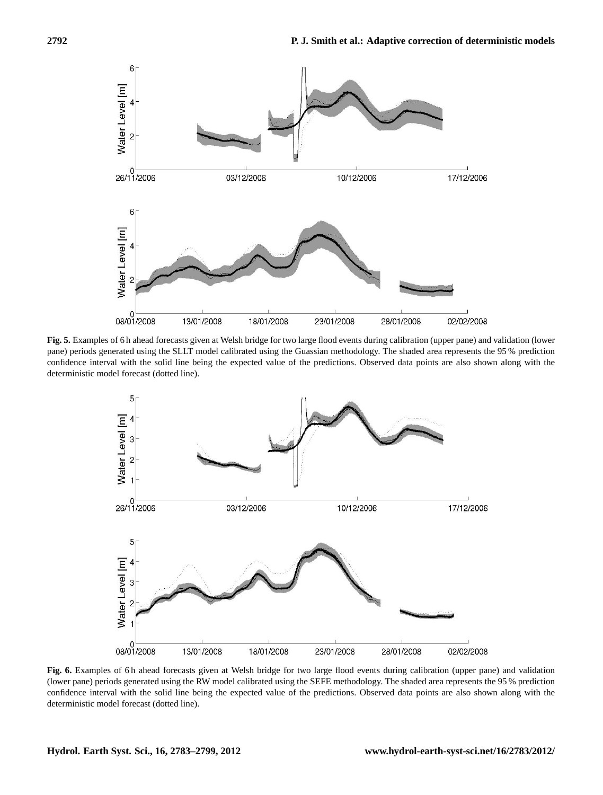

<span id="page-9-0"></span>**Fig. 5.** Examples of 6 h ahead forecasts given at Welsh bridge for two large flood events during calibration (upper pane) and validation (lower pane) periods generated using the SLLT model calibrated using the Guassian methodology. The shaded area represents the 95 % prediction confidence interval with the solid line being the expected value of the predictions. Observed data points are also shown along with the deterministic model forecast (dotted line).



<span id="page-9-1"></span>**Fig. 6.** Examples of 6 h ahead forecasts given at Welsh bridge for two large flood events during calibration (upper pane) and validation (lower pane) periods generated using the RW model calibrated using the SEFE methodology. The shaded area represents the 95 % prediction confidence interval with the solid line being the expected value of the predictions. Observed data points are also shown along with the deterministic model forecast (dotted line).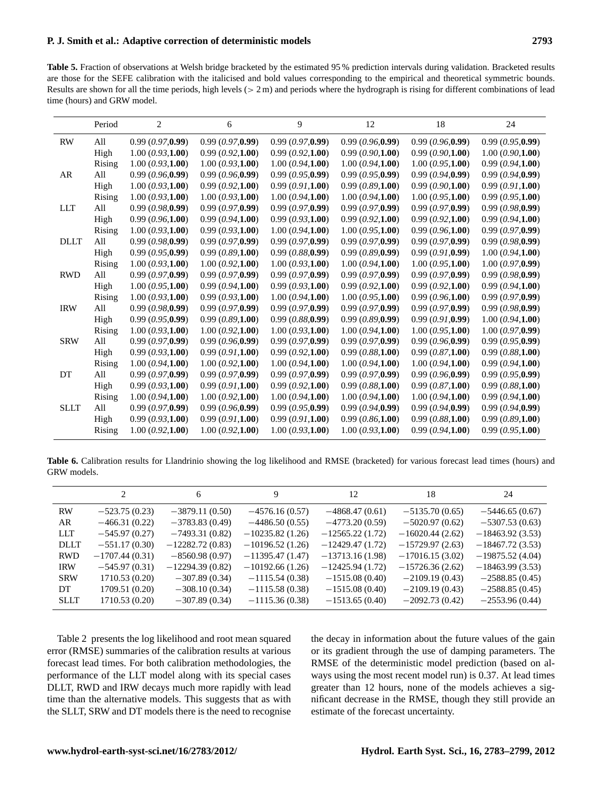<span id="page-10-0"></span>**Table 5.** Fraction of observations at Welsh bridge bracketed by the estimated 95 % prediction intervals during validation. Bracketed results are those for the SEFE calibration with the italicised and bold values corresponding to the empirical and theoretical symmetric bounds. Results are shown for all the time periods, high levels  $(> 2 \text{ m})$  and periods where the hydrograph is rising for different combinations of lead time (hours) and GRW model.

|             | Period | $\overline{c}$    | 6                 | 9                | 12               | 18               | 24                |
|-------------|--------|-------------------|-------------------|------------------|------------------|------------------|-------------------|
| <b>RW</b>   | All    | 0.99(0.97,0.99)   | 0.99(0.97,0.99)   | 0.99(0.97,0.99)  | 0.99(0.96, 0.99) | 0.99(0.96, 0.99) | 0.99(0.95, 0.99)  |
|             | High   | 1.00(0.93,1.00)   | 0.99(0.92,1.00)   | 0.99(0.92,1.00)  | 0.99(0.90,1.00)  | 0.99(0.90,1.00)  | 1.00(0.90,1.00)   |
|             | Rising | 1.00(0.93,1.00)   | 1.00(0.93,1.00)   | 1.00(0.94, 1.00) | 1.00(0.94,1.00)  | 1.00(0.95,1.00)  | 0.99(0.94,1.00)   |
| AR          | All    | 0.99(0.96, 0.99)  | 0.99(0.96,0.99)   | 0.99(0.95, 0.99) | 0.99(0.95, 0.99) | 0.99(0.94, 0.99) | 0.99(0.94, 0.99)  |
|             | High   | 1.00(0.93,1.00)   | 0.99(0.92,1.00)   | 0.99(0.91,1.00)  | 0.99(0.89,1.00)  | 0.99(0.90,1.00)  | 0.99(0.91,1.00)   |
|             | Rising | 1.00(0.93,1.00)   | 1.00(0.93,1.00)   | 1.00(0.94, 1.00) | 1.00(0.94, 1.00) | 1.00(0.95,1.00)  | 0.99(0.95,1.00)   |
| <b>LLT</b>  | All    | 0.99(0.98,0.99)   | 0.99(0.97, 0.99)  | 0.99(0.97,0.99)  | 0.99(0.97,0.99)  | 0.99(0.97,0.99)  | 0.99(0.98,0.99)   |
|             | High   | 0.99(0.96,1.00)   | 0.99(0.94,1.00)   | 0.99(0.93,1.00)  | 0.99(0.92,1.00)  | 0.99(0.92,1.00)  | 0.99(0.94,1.00)   |
|             | Rising | 1.00(0.93,1.00)   | 0.99(0.93,1.00)   | 1.00(0.94,1.00)  | 1.00(0.95,1.00)  | 0.99(0.96,1.00)  | 0.99(0.97,0.99)   |
| <b>DLLT</b> | All    | 0.99(0.98,0.99)   | 0.99(0.97,0.99)   | 0.99(0.97,0.99)  | 0.99(0.97,0.99)  | 0.99(0.97,0.99)  | 0.99(0.98,0.99)   |
|             | High   | 0.99(0.95, 0.99)  | 0.99(0.89,1.00)   | 0.99(0.88, 0.99) | 0.99(0.89.0.99)  | 0.99(0.91, 0.99) | 1.00(0.94.1.00)   |
|             | Rising | 1.00(0.93,1.00)   | 1.00(0.92,1.00)   | 1.00(0.93,1.00)  | 1.00(0.94, 1.00) | 1.00(0.95,1.00)  | 1.00(0.97,0.99)   |
| <b>RWD</b>  | All    | 0.99(0.97,0.99)   | 0.99(0.97,0.99)   | 0.99(0.97,0.99)  | 0.99(0.97,0.99)  | 0.99(0.97,0.99)  | 0.99(0.98,0.99)   |
|             | High   | 1.00(0.95,1.00)   | 0.99(0.94,1.00)   | 0.99(0.93,1.00)  | 0.99(0.92,1.00)  | 0.99(0.92,1.00)  | 0.99(0.94,1.00)   |
|             | Rising | 1.00(0.93,1.00)   | 0.99(0.93,1.00)   | 1.00(0.94, 1.00) | 1.00(0.95,1.00)  | 0.99(0.96,1.00)  | 0.99(0.97,0.99)   |
| <b>IRW</b>  | All    | 0.99(0.98,0.99)   | 0.99(0.97,0.99)   | 0.99(0.97,0.99)  | 0.99(0.97,0.99)  | 0.99(0.97,0.99)  | 0.99(0.98,0.99)   |
|             | High   | 0.99(0.95, 0.99)  | 0.99(0.89,1.00)   | 0.99(0.88, 0.99) | 0.99(0.89, 0.99) | 0.99(0.91, 0.99) | 1.00(0.94, 1.00)  |
|             | Rising | 1.00 (0.93, 1.00) | 1.00 (0.92, 1.00) | 1.00(0.93,1.00)  | 1.00(0.94,1.00)  | 1.00(0.95,1.00)  | 1.00 (0.97, 0.99) |
| <b>SRW</b>  | All    | 0.99(0.97,0.99)   | 0.99(0.96, 0.99)  | 0.99(0.97,0.99)  | 0.99(0.97,0.99)  | 0.99(0.96, 0.99) | 0.99(0.95,0.99)   |
|             | High   | 0.99(0.93,1.00)   | 0.99(0.91,1.00)   | 0.99(0.92,1.00)  | 0.99(0.88,1.00)  | 0.99(0.87,1.00)  | 0.99(0.88,1.00)   |
|             | Rising | 1.00(0.94,1.00)   | 1.00(0.92,1.00)   | 1.00(0.94, 1.00) | 1.00(0.94,1.00)  | 1.00(0.94, 1.00) | 0.99(0.94,1.00)   |
| DT          | All    | 0.99(0.97,0.99)   | 0.99(0.97,0.99)   | 0.99(0.97,0.99)  | 0.99(0.97,0.99)  | 0.99(0.96, 0.99) | 0.99(0.95,0.99)   |
|             | High   | 0.99(0.93,1.00)   | 0.99(0.91,1.00)   | 0.99(0.92,1.00)  | 0.99(0.88,1.00)  | 0.99(0.87,1.00)  | 0.99(0.88,1.00)   |
|             | Rising | 1.00(0.94, 1.00)  | 1.00 (0.92, 1.00) | 1.00(0.94, 1.00) | 1.00(0.94, 1.00) | 1.00(0.94, 1.00) | 0.99(0.94,1.00)   |
| <b>SLLT</b> | All    | 0.99(0.97,0.99)   | 0.99(0.96,0.99)   | 0.99(0.95,0.99)  | 0.99(0.94, 0.99) | 0.99(0.94, 0.99) | 0.99(0.94, 0.99)  |
|             | High   | 0.99(0.93,1.00)   | 0.99(0.91,1.00)   | 0.99(0.91,1.00)  | 0.99(0.86,1.00)  | 0.99(0.88,1.00)  | 0.99(0.89,1.00)   |
|             | Rising | 1.00(0.92,1.00)   | 1.00(0.92,1.00)   | 1.00(0.93,1.00)  | 1.00(0.93,1.00)  | 0.99(0.94,1.00)  | 0.99(0.95,1.00)   |

<span id="page-10-1"></span>**Table 6.** Calibration results for Llandrinio showing the log likelihood and RMSE (bracketed) for various forecast lead times (hours) and GRW models.

|             | $\mathfrak{D}$   | 6                 | 9                 | 12                | 18                | 24                |
|-------------|------------------|-------------------|-------------------|-------------------|-------------------|-------------------|
| RW          | $-523.75(0.23)$  | $-3879.11(0.50)$  | $-4576.16(0.57)$  | $-4868.47(0.61)$  | $-5135.70(0.65)$  | $-5446.65(0.67)$  |
| AR          | $-466.31(0.22)$  | $-3783.83(0.49)$  | $-4486.50(0.55)$  | $-4773.20(0.59)$  | $-5020.97(0.62)$  | $-5307.53(0.63)$  |
| <b>LLT</b>  | $-545.97(0.27)$  | $-7493.31(0.82)$  | $-10235.82(1.26)$ | $-12565.22(1.72)$ | $-16020.44(2.62)$ | $-18463.92(3.53)$ |
| <b>DLLT</b> | $-551.17(0.30)$  | $-12282.72(0.83)$ | $-10196.52(1.26)$ | $-12429.47(1.72)$ | $-15729.97(2.63)$ | $-18467.72(3.53)$ |
| <b>RWD</b>  | $-1707.44(0.31)$ | $-8560.98(0.97)$  | $-11395.47(1.47)$ | $-13713.16(1.98)$ | $-17016.15(3.02)$ | $-19875.52(4.04)$ |
| <b>IRW</b>  | $-545.97(0.31)$  | $-12294.39(0.82)$ | $-10192.66(1.26)$ | $-12425.94(1.72)$ | $-15726.36(2.62)$ | $-18463.99(3.53)$ |
| <b>SRW</b>  | 1710.53 (0.20)   | $-307.89(0.34)$   | $-1115.54(0.38)$  | $-1515.08(0.40)$  | $-2109.19(0.43)$  | $-2588.85(0.45)$  |
| DT.         | 1709.51 (0.20)   | $-308.10(0.34)$   | $-1115.58(0.38)$  | $-1515.08(0.40)$  | $-2109.19(0.43)$  | $-2588.85(0.45)$  |
| <b>SLLT</b> | 1710.53 (0.20)   | $-307.89(0.34)$   | $-1115.36(0.38)$  | $-1513.65(0.40)$  | $-2092.73(0.42)$  | $-2553.96(0.44)$  |

Table [2](#page-4-4) presents the log likelihood and root mean squared error (RMSE) summaries of the calibration results at various forecast lead times. For both calibration methodologies, the performance of the LLT model along with its special cases DLLT, RWD and IRW decays much more rapidly with lead time than the alternative models. This suggests that as with the SLLT, SRW and DT models there is the need to recognise the decay in information about the future values of the gain or its gradient through the use of damping parameters. The RMSE of the deterministic model prediction (based on always using the most recent model run) is 0.37. At lead times greater than 12 hours, none of the models achieves a significant decrease in the RMSE, though they still provide an estimate of the forecast uncertainty.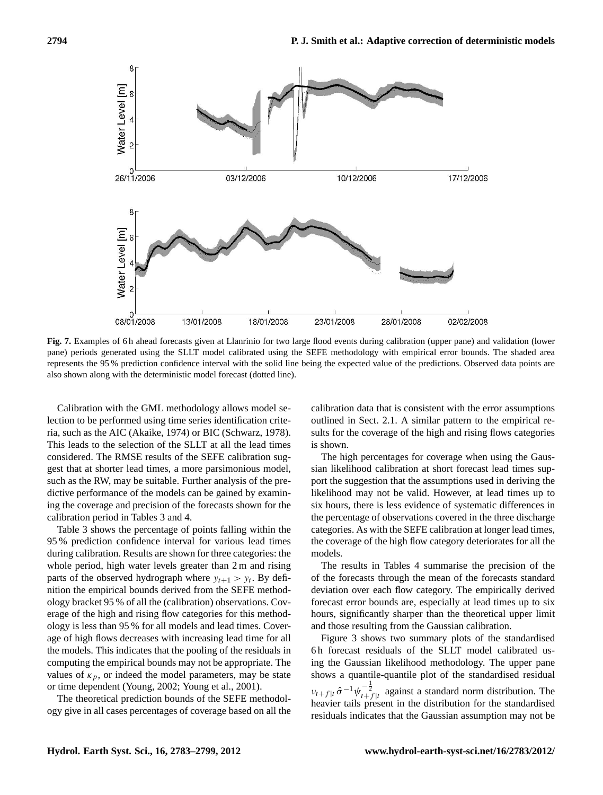

<span id="page-11-0"></span>**Fig. 7.** Examples of 6 h ahead forecasts given at Llanrinio for two large flood events during calibration (upper pane) and validation (lower pane) periods generated using the SLLT model calibrated using the SEFE methodology with empirical error bounds. The shaded area represents the 95 % prediction confidence interval with the solid line being the expected value of the predictions. Observed data points are also shown along with the deterministic model forecast (dotted line).

Calibration with the GML methodology allows model selection to be performed using time series identification criteria, such as the AIC [\(Akaike,](#page-15-32) [1974\)](#page-15-32) or BIC [\(Schwarz,](#page-15-33) [1978\)](#page-15-33). This leads to the selection of the SLLT at all the lead times considered. The RMSE results of the SEFE calibration suggest that at shorter lead times, a more parsimonious model, such as the RW, may be suitable. Further analysis of the predictive performance of the models can be gained by examining the coverage and precision of the forecasts shown for the calibration period in Tables [3](#page-5-3) and [4.](#page-6-0)

Table [3](#page-5-3) shows the percentage of points falling within the 95 % prediction confidence interval for various lead times during calibration. Results are shown for three categories: the whole period, high water levels greater than 2 m and rising parts of the observed hydrograph where  $y_{t+1} > y_t$ . By definition the empirical bounds derived from the SEFE methodology bracket 95 % of all the (calibration) observations. Coverage of the high and rising flow categories for this methodology is less than 95 % for all models and lead times. Coverage of high flows decreases with increasing lead time for all the models. This indicates that the pooling of the residuals in computing the empirical bounds may not be appropriate. The values of  $\kappa_p$ , or indeed the model parameters, may be state or time dependent [\(Young,](#page-16-11) [2002;](#page-16-11) [Young et al.,](#page-16-12) [2001\)](#page-16-12).

The theoretical prediction bounds of the SEFE methodology give in all cases percentages of coverage based on all the calibration data that is consistent with the error assumptions outlined in Sect. [2.1.](#page-2-2) A similar pattern to the empirical results for the coverage of the high and rising flows categories is shown.

The high percentages for coverage when using the Gaussian likelihood calibration at short forecast lead times support the suggestion that the assumptions used in deriving the likelihood may not be valid. However, at lead times up to six hours, there is less evidence of systematic differences in the percentage of observations covered in the three discharge categories. As with the SEFE calibration at longer lead times, the coverage of the high flow category deteriorates for all the models.

The results in Tables [4](#page-6-0) summarise the precision of the of the forecasts through the mean of the forecasts standard deviation over each flow category. The empirically derived forecast error bounds are, especially at lead times up to six hours, significantly sharper than the theoretical upper limit and those resulting from the Gaussian calibration.

Figure [3](#page-7-1) shows two summary plots of the standardised 6 h forecast residuals of the SLLT model calibrated using the Gaussian likelihood methodology. The upper pane shows a quantile-quantile plot of the standardised residual  $v_{t}$ <sub>t+f |t</sub>  $\hat{\sigma}^{-1} \psi_{t+f|t}^{-\frac{1}{2}}$  against a standard norm distribution. The heavier tails present in the distribution for the standardised residuals indicates that the Gaussian assumption may not be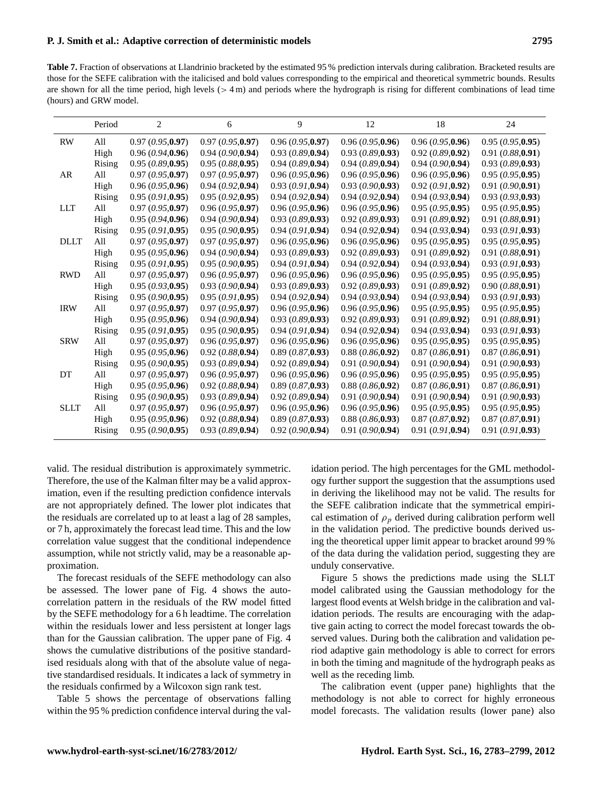<span id="page-12-0"></span>**Table 7.** Fraction of observations at Llandrinio bracketed by the estimated 95 % prediction intervals during calibration. Bracketed results are those for the SEFE calibration with the italicised and bold values corresponding to the empirical and theoretical symmetric bounds. Results are shown for all the time period, high levels  $(> 4 \text{ m})$  and periods where the hydrograph is rising for different combinations of lead time (hours) and GRW model.

|             | Period | 2                | 6                 | 9                | 12               | 18               | 24                |
|-------------|--------|------------------|-------------------|------------------|------------------|------------------|-------------------|
| <b>RW</b>   | All    | 0.97(0.95,0.97)  | 0.97(0.95,0.97)   | 0.96(0.95, 0.97) | 0.96(0.95,0.96)  | 0.96(0.95, 0.96) | 0.95(0.95, 0.95)  |
|             | High   | 0.96(0.94,0.96)  | 0.94(0.90.0.94)   | 0.93(0.89, 0.94) | 0.93(0.89, 0.93) | 0.92(0.89, 0.92) | 0.91(0.88, 0.91)  |
|             | Rising | 0.95(0.89, 0.95) | 0.95(0.88, 0.95)  | 0.94(0.89, 0.94) | 0.94(0.89, 0.94) | 0.94(0.90.0.94)  | 0.93(0.89, 0.93)  |
| AR          | All    | 0.97(0.95,0.97)  | 0.97(0.95,0.97)   | 0.96(0.95,0.96)  | 0.96(0.95,0.96)  | 0.96(0.95, 0.96) | 0.95(0.95, 0.95)  |
|             | High   | 0.96(0.95, 0.96) | 0.94(0.92, 0.94)  | 0.93(0.91, 0.94) | 0.93(0.90, 0.93) | 0.92(0.91, 0.92) | 0.91(0.90, 0.91)  |
|             | Rising | 0.95(0.91, 0.95) | 0.95(0.92, 0.95)  | 0.94(0.92, 0.94) | 0.94(0.92, 0.94) | 0.94(0.93, 0.94) | 0.93(0.93, 0.93)  |
| <b>LLT</b>  | All    | 0.97(0.95, 0.97) | 0.96(0.95, 0.97)  | 0.96(0.95, 0.96) | 0.96(0.95, 0.96) | 0.95(0.95, 0.95) | 0.95(0.95, 0.95)  |
|             | High   | 0.95(0.94, 0.96) | 0.94(0.90.0.94)   | 0.93(0.89, 0.93) | 0.92(0.89, 0.93) | 0.91(0.89, 0.92) | 0.91(0.88, 0.91)  |
|             | Rising | 0.95(0.91,0.95)  | 0.95(0.90, 0.95)  | 0.94(0.91,0.94)  | 0.94(0.92,0.94)  | 0.94(0.93,0.94)  | 0.93(0.91, 0.93)  |
| <b>DLLT</b> | All    | 0.97(0.95,0.97)  | 0.97(0.95,0.97)   | 0.96(0.95, 0.96) | 0.96(0.95, 0.96) | 0.95(0.95, 0.95) | 0.95(0.95, 0.95)  |
|             | High   | 0.95(0.95, 0.96) | 0.94(0.90.0.94)   | 0.93(0.89, 0.93) | 0.92(0.89, 0.93) | 0.91(0.89, 0.92) | 0.91(0.88, 0.91)  |
|             | Rising | 0.95(0.91, 0.95) | 0.95(0.90, 0.95)  | 0.94(0.91, 0.94) | 0.94(0.92,0.94)  | 0.94(0.93,0.94)  | 0.93(0.91, 0.93)  |
| <b>RWD</b>  | All    | 0.97(0.95,0.97)  | 0.96(0.95,0.97)   | 0.96(0.95,0.96)  | 0.96(0.95,0.96)  | 0.95(0.95, 0.95) | 0.95(0.95, 0.95)  |
|             | High   | 0.95(0.93,0.95)  | 0.93(0.90, 0.94)  | 0.93(0.89, 0.93) | 0.92(0.89, 0.93) | 0.91(0.89, 0.92) | 0.90(0.88, 0.91)  |
|             | Rising | 0.95(0.90, 0.95) | 0.95(0.91, 0.95)  | 0.94(0.92,0.94)  | 0.94(0.93,0.94)  | 0.94(0.93,0.94)  | 0.93(0.91,0.93)   |
| <b>IRW</b>  | All    | 0.97(0.95, 0.97) | 0.97(0.95.0.97)   | 0.96(0.95.0.96)  | 0.96(0.95,0.96)  | 0.95(0.95, 0.95) | 0.95(0.95, 0.95)  |
|             | High   | 0.95(0.95, 0.96) | 0.94(0.90, 0.94)  | 0.93(0.89, 0.93) | 0.92(0.89, 0.93) | 0.91(0.89, 0.92) | 0.91(0.88, 0.91)  |
|             | Rising | 0.95(0.91,0.95)  | 0.95(0.90, 0.95)  | 0.94(0.91, 0.94) | 0.94(0.92,0.94)  | 0.94(0.93,0.94)  | 0.93(0.91, 0.93)  |
| <b>SRW</b>  | All    | 0.97(0.95,0.97)  | 0.96(0.95,0.97)   | 0.96(0.95,0.96)  | 0.96(0.95,0.96)  | 0.95(0.95, 0.95) | 0.95(0.95, 0.95)  |
|             | High   | 0.95(0.95, 0.96) | 0.92(0.88, 0.94)  | 0.89(0.87, 0.93) | 0.88(0.86, 0.92) | 0.87(0.86, 0.91) | 0.87(0.86, 0.91)  |
|             | Rising | 0.95(0.90, 0.95) | 0.93(0.89, 0.94)  | 0.92(0.89, 0.94) | 0.91(0.90, 0.94) | 0.91(0.90, 0.94) | 0.91(0.90, 0.93)  |
| DT          | All    | 0.97(0.95,0.97)  | 0.96(0.95,0.97)   | 0.96(0.95,0.96)  | 0.96(0.95,0.96)  | 0.95(0.95, 0.95) | 0.95(0.95, 0.95)  |
|             | High   | 0.95(0.95, 0.96) | 0.92(0.88, 0.94)  | 0.89(0.87, 0.93) | 0.88(0.86, 0.92) | 0.87(0.86, 0.91) | 0.87(0.86, 0.91)  |
|             | Rising | 0.95(0.90, 0.95) | 0.93(0.89, 0.94)  | 0.92(0.89, 0.94) | 0.91(0.90, 0.94) | 0.91(0.90, 0.94) | 0.91 (0.90, 0.93) |
| <b>SLLT</b> | All    | 0.97(0.95,0.97)  | 0.96(0.95,0.97)   | 0.96(0.95,0.96)  | 0.96(0.95,0.96)  | 0.95(0.95, 0.95) | 0.95(0.95, 0.95)  |
|             | High   | 0.95(0.95, 0.96) | 0.92~(0.88, 0.94) | 0.89(0.87, 0.93) | 0.88(0.86, 0.93) | 0.87(0.87, 0.92) | 0.87(0.87, 0.91)  |
|             | Rising | 0.95(0.90, 0.95) | 0.93(0.89, 0.94)  | 0.92(0.90, 0.94) | 0.91(0.90, 0.94) | 0.91(0.91, 0.94) | 0.91(0.91, 0.93)  |

valid. The residual distribution is approximately symmetric. Therefore, the use of the Kalman filter may be a valid approximation, even if the resulting prediction confidence intervals are not appropriately defined. The lower plot indicates that the residuals are correlated up to at least a lag of 28 samples, or 7 h, approximately the forecast lead time. This and the low correlation value suggest that the conditional independence assumption, while not strictly valid, may be a reasonable approximation.

The forecast residuals of the SEFE methodology can also be assessed. The lower pane of Fig. [4](#page-8-0) shows the autocorrelation pattern in the residuals of the RW model fitted by the SEFE methodology for a 6 h leadtime. The correlation within the residuals lower and less persistent at longer lags than for the Gaussian calibration. The upper pane of Fig. [4](#page-8-0) shows the cumulative distributions of the positive standardised residuals along with that of the absolute value of negative standardised residuals. It indicates a lack of symmetry in the residuals confirmed by a Wilcoxon sign rank test.

Table [5](#page-10-0) shows the percentage of observations falling within the 95 % prediction confidence interval during the val-

idation period. The high percentages for the GML methodology further support the suggestion that the assumptions used in deriving the likelihood may not be valid. The results for the SEFE calibration indicate that the symmetrical empirical estimation of  $\rho_p$  derived during calibration perform well in the validation period. The predictive bounds derived using the theoretical upper limit appear to bracket around 99 % of the data during the validation period, suggesting they are unduly conservative.

Figure [5](#page-9-0) shows the predictions made using the SLLT model calibrated using the Gaussian methodology for the largest flood events at Welsh bridge in the calibration and validation periods. The results are encouraging with the adaptive gain acting to correct the model forecast towards the observed values. During both the calibration and validation period adaptive gain methodology is able to correct for errors in both the timing and magnitude of the hydrograph peaks as well as the receding limb.

The calibration event (upper pane) highlights that the methodology is not able to correct for highly erroneous model forecasts. The validation results (lower pane) also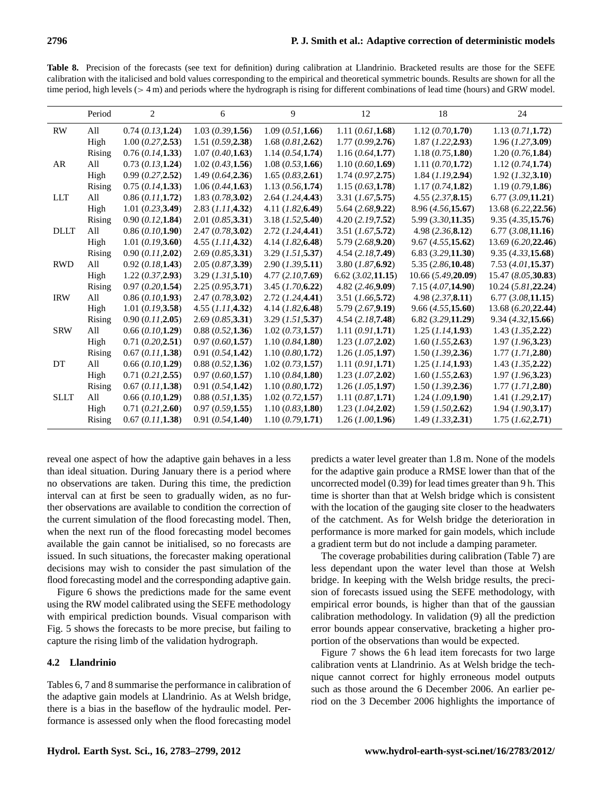<span id="page-13-0"></span>**Table 8.** Precision of the forecasts (see text for definition) during calibration at Llandrinio. Bracketed results are those for the SEFE calibration with the italicised and bold values corresponding to the empirical and theoretical symmetric bounds. Results are shown for all the time period, high levels  $(> 4 \text{ m})$  and periods where the hydrograph is rising for different combinations of lead time (hours) and GRW model.

| Period | $\overline{2}$    | 6                                      | 9                     | 12                     | 18                    | 24                    |
|--------|-------------------|----------------------------------------|-----------------------|------------------------|-----------------------|-----------------------|
| All    | 0.74(0.13,1.24)   | 1.03(0.39,1.56)                        | 1.09(0.51, 1.66)      | 1.11(0.61, 1.68)       | 1.12(0.70, 1.70)      | 1.13(0.71, 1.72)      |
|        |                   |                                        |                       |                        |                       | 1.96 (1.27, 3.09)     |
|        | 0.76(0.14, 1.33)  | 1.07(0.40, 1.63)                       | 1.14(0.54, 1.74)      | 1.16(0.64, 1.77)       | 1.18(0.75, 1.80)      | 1.20(0.76, 1.84)      |
| All    | 0.73(0.13, 1.24)  | 1.02(0.43, 1.56)                       | 1.08(0.53, 1.66)      | 1.10(0.60, 1.69)       | 1.11(0.70, 1.72)      | 1.12(0.74, 1.74)      |
| High   | 0.99(0.27,2.52)   | 1.49(0.64, 2.36)                       | 1.65(0.83, 2.61)      | 1.74(0.97,2.75)        | 1.84 (1.19, 2.94)     | 1.92 (1.32, 3.10)     |
| Rising | 0.75(0.14, 1.33)  | 1.06(0.44, 1.63)                       | 1.13(0.56, 1.74)      | 1.15(0.63, 1.78)       | 1.17(0.74, 1.82)      | 1.19(0.79, 1.86)      |
| All    | 0.86(0.11, 1.72)  | 1.83(0.78,3.02)                        | 2.64 (1.24, 4.43)     | 3.31 (1.67, 5.75)      | 4.55(2.37,8.15)       | 6.77(3.09,11.21)      |
| High   | 1.01 (0.23, 3.49) | 2.83 (1.11, 4.32)                      | 4.11 (1.82, 6.49)     | 5.64 (2.68, 9.22)      | 8.96(4.56,15.67)      | 13.68 (6.22, 22.56)   |
| Rising | 0.90(0.12, 1.84)  | 2.01 (0.85, 3.31)                      | 3.18 (1.52, 5.40)     | 4.20(2.19,7.52)        | $5.99$ $(3.30,11.35)$ | 9.35(4.35,15.76)      |
| All    | 0.86(0.10,1.90)   | 2.47(0.78,3.02)                        | $2.72$ $(I.24,4.41)$  | 3.51 (1.67, 5.72)      | 4.98(2.36, 8.12)      | 6.77(3.08,11.16)      |
| High   | 1.01 (0.19, 3.60) | 4.55 (1.11, 4.32)                      | 4.14(1.82, 6.48)      | 5.79(2.68,9.20)        | 9.67(4.55,15.62)      | 13.69 (6.20, 22.46)   |
| Rising | 0.90(0.11, 2.02)  | 2.69(0.85, 3.31)                       | 3.29 (1.51, 5.37)     | 4.54(2.18,7.49)        | $6.83$ $(3.29,11.30)$ | 9.35(4.33,15.68)      |
| All    | 0.92(0.18,1.43)   | 2.05(0.87,3.39)                        | $2.90$ $(I.39,5.11)$  | $3.80$ $(1.87, 6.92)$  | 5.35(2.86,10.48)      | 7.53(4.01, 15.37)     |
| High   | 1.22(0.37,2.93)   | 3.29 (1.31, 5.10)                      | 4.77(2.10,7.69)       | $6.62$ $(3.02, 11.15)$ | 10.66 (5.49,20.09)    | 15.47(8.05,30.83)     |
| Rising | 0.97(0.20, 1.54)  | 2.25(0.95,3.71)                        | 3.45(1.70.6.22)       | 4.82(2.46,9.09)        | 7.15(4.07,14.90)      | 10.24(5.81, 22.24)    |
| All    | 0.86(0.10,1.93)   | 2.47(0.78,3.02)                        | $2.72$ $(I.24,4.41)$  | 3.51 (1.66, 5.72)      | 4.98(2.37, 8.11)      | 6.77(3.08,11.15)      |
| High   | 1.01 (0.19, 3.58) | 4.55 (1.11, 4.32)                      | $4.14$ $(I.82, 6.48)$ | 5.79(2.67,9.19)        | 9.66(4.55,15.60)      | 13.68 (6.20, 22.44)   |
| Rising | 0.90(0.11, 2.05)  | 2.69(0.85, 3.31)                       | 3.29 (1.51, 5.37)     | 4.54(2.18,7.48)        | $6.82$ $(3.29,11.29)$ | 9.34 (4.32, 15.66)    |
| All    | 0.66(0.10, 1.29)  | 0.88(0.52, 1.36)                       | 1.02 (0.73, 1.57)     | 1.11(0.91, 1.71)       | 1.25 (1.14, 1.93)     | $1.43$ $(I.35, 2.22)$ |
| High   | 0.71(0.20,2.51)   | 0.97(0.60, 1.57)                       | 1.10(0.84, 1.80)      | $1.23$ (1.07,2.02)     | $1.60$ (1.55,2.63)    | 1.97 (1.96, 3.23)     |
| Rising | 0.67(0.11, 1.38)  | 0.91(0.54, 1.42)                       | 1.10(0.80, 1.72)      | 1.26 (1.05, 1.97)      | $1.50$ $(I.39,2.36)$  | 1.77(1.71, 2.80)      |
| All    | 0.66 (0.10, 1.29) | 0.88(0.52, 1.36)                       | 1.02 (0.73, 1.57)     | 1.11(0.91, 1.71)       | 1.25 (1.14, 1.93)     | $1.43$ $(I.35, 2.22)$ |
| High   | 0.71(0.21, 2.55)  | 0.97(0.60, 1.57)                       | 1.10(0.84, 1.80)      | $1.23$ $(1.07, 2.02)$  | $1.60$ (1.55,2.63)    | 1.97 (1.96, 3.23)     |
| Rising |                   | 0.91(0.54, 1.42)                       | 1.10(0.80, 1.72)      | $1.26$ (1.05, 1.97)    | $1.50$ (1.39,2.36)    | 1.77 (1.71, 2.80)     |
| All    | 0.66(0.10, 1.29)  | 0.88(0.51, 1.35)                       | 1.02(0.72, 1.57)      | 1.11(0.87, 1.71)       | 1.24 (1.09, 1.90)     | 1.41 (1.29, 2.17)     |
| High   | 0.71(0.21, 2.60)  | 0.97(0.59,1.55)                        | 1.10(0.83, 1.80)      | $1.23$ $(I.04, 2.02)$  | $1.59$ (1.50, 2.62)   | 1.94 (1.90, 3.17)     |
| Rising | 0.67(0.11, 1.38)  | 0.91(0.54, 1.40)                       | 1.10(0.79,1.71)       | 1.26(1.00, 1.96)       | $1.49$ $(I.33,2.31)$  | 1.75(1.62, 2.71)      |
|        | High<br>Rising    | 1.00 (0.27, 2.53)<br>0.67 (0.11, 1.38) | 1.51(0.59, 2.38)      | 1.68(0.81, 2.62)       | 1.77(0.99,2.76)       | 1.87 (1.22, 2.93)     |

reveal one aspect of how the adaptive gain behaves in a less than ideal situation. During January there is a period where no observations are taken. During this time, the prediction interval can at first be seen to gradually widen, as no further observations are available to condition the correction of the current simulation of the flood forecasting model. Then, when the next run of the flood forecasting model becomes available the gain cannot be initialised, so no forecasts are issued. In such situations, the forecaster making operational decisions may wish to consider the past simulation of the flood forecasting model and the corresponding adaptive gain.

Figure [6](#page-9-1) shows the predictions made for the same event using the RW model calibrated using the SEFE methodology with empirical prediction bounds. Visual comparison with Fig. [5](#page-9-0) shows the forecasts to be more precise, but failing to capture the rising limb of the validation hydrograph.

## **4.2 Llandrinio**

Tables [6,](#page-10-1) [7](#page-12-0) and [8](#page-13-0) summarise the performance in calibration of the adaptive gain models at Llandrinio. As at Welsh bridge, there is a bias in the baseflow of the hydraulic model. Performance is assessed only when the flood forecasting model

predicts a water level greater than 1.8 m. None of the models for the adaptive gain produce a RMSE lower than that of the uncorrected model (0.39) for lead times greater than 9 h. This time is shorter than that at Welsh bridge which is consistent with the location of the gauging site closer to the headwaters of the catchment. As for Welsh bridge the deterioration in performance is more marked for gain models, which include a gradient term but do not include a damping parameter.

The coverage probabilities during calibration (Table [7\)](#page-12-0) are less dependant upon the water level than those at Welsh bridge. In keeping with the Welsh bridge results, the precision of forecasts issued using the SEFE methodology, with empirical error bounds, is higher than that of the gaussian calibration methodology. In validation [\(9\)](#page-14-0) all the prediction error bounds appear conservative, bracketing a higher proportion of the observations than would be expected.

Figure [7](#page-11-0) shows the 6 h lead item forecasts for two large calibration vents at Llandrinio. As at Welsh bridge the technique cannot correct for highly erroneous model outputs such as those around the 6 December 2006. An earlier period on the 3 December 2006 highlights the importance of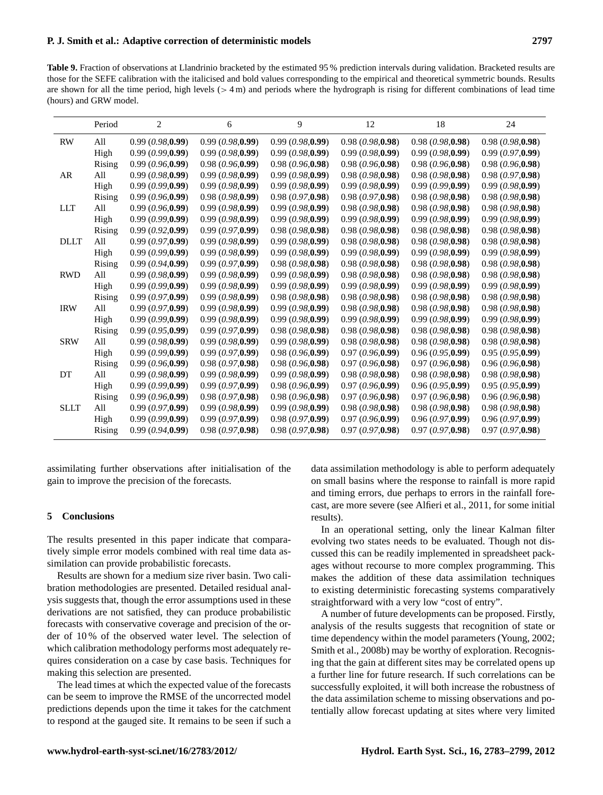<span id="page-14-0"></span>**Table 9.** Fraction of observations at Llandrinio bracketed by the estimated 95 % prediction intervals during validation. Bracketed results are those for the SEFE calibration with the italicised and bold values corresponding to the empirical and theoretical symmetric bounds. Results are shown for all the time period, high levels  $(> 4 \text{ m})$  and periods where the hydrograph is rising for different combinations of lead time (hours) and GRW model.

|             | Period | 2                | 6                | 9                | 12               | 18               | 24              |
|-------------|--------|------------------|------------------|------------------|------------------|------------------|-----------------|
| <b>RW</b>   | All    | 0.99(0.98,0.99)  | 0.99(0.98,0.99)  | 0.99(0.98,0.99)  | 0.98(0.98,0.98)  | 0.98(0.98,0.98)  | 0.98(0.98,0.98) |
|             | High   | 0.99(0.99,0.99)  | 0.99(0.98,0.99)  | 0.99(0.98,0.99)  | 0.99(0.98,0.99)  | 0.99(0.98,0.99)  | 0.99(0.97,0.99) |
|             | Rising | 0.99(0.96,0.99)  | 0.98(0.96, 0.99) | 0.98(0.96,0.98)  | 0.98(0.96, 0.98) | 0.98(0.96,0.98)  | 0.98(0.96,0.98) |
| AR          | All    | 0.99(0.98,0.99)  | 0.99(0.98,0.99)  | 0.99(0.98,0.99)  | 0.98(0.98, 0.98) | 0.98(0.98,0.98)  | 0.98(0.97,0.98) |
|             | High   | 0.99(0.99,0.99)  | 0.99(0.98,0.99)  | 0.99(0.98,0.99)  | 0.99(0.98,0.99)  | 0.99(0.99,0.99)  | 0.99(0.98,0.99) |
|             | Rising | 0.99(0.96,0.99)  | 0.98(0.98, 0.99) | 0.98(0.97,0.98)  | 0.98(0.97,0.98)  | 0.98(0.98,0.98)  | 0.98(0.98,0.98) |
| <b>LLT</b>  | All    | 0.99(0.96,0.99)  | 0.99(0.98,0.99)  | 0.99(0.98,0.99)  | 0.98(0.98, 0.98) | 0.98(0.98, 0.98) | 0.98(0.98,0.98) |
|             | High   | 0.99(0.99,0.99)  | 0.99(0.98,0.99)  | 0.99(0.98,0.99)  | 0.99(0.98,0.99)  | 0.99(0.98,0.99)  | 0.99(0.98,0.99) |
|             | Rising | 0.99(0.92,0.99)  | 0.99(0.97,0.99)  | 0.98(0.98,0.98)  | 0.98(0.98,0.98)  | 0.98(0.98,0.98)  | 0.98(0.98,0.98) |
| <b>DLLT</b> | All    | 0.99(0.97,0.99)  | 0.99(0.98,0.99)  | 0.99(0.98,0.99)  | 0.98(0.98,0.98)  | 0.98(0.98,0.98)  | 0.98(0.98,0.98) |
|             | High   | 0.99(0.99, 0.99) | 0.99(0.98.0.99)  | 0.99(0.98.0.99)  | 0.99(0.98.0.99)  | 0.99(0.98,0.99)  | 0.99(0.98,0.99) |
|             | Rising | 0.99(0.94,0.99)  | 0.99(0.97,0.99)  | 0.98(0.98,0.98)  | 0.98(0.98,0.98)  | 0.98(0.98,0.98)  | 0.98(0.98,0.98) |
| <b>RWD</b>  | All    | 0.99(0.98,0.99)  | 0.99(0.98,0.99)  | 0.99(0.98,0.99)  | 0.98(0.98,0.98)  | 0.98(0.98,0.98)  | 0.98(0.98,0.98) |
|             | High   | 0.99(0.99,0.99)  | 0.99(0.98,0.99)  | 0.99(0.98,0.99)  | 0.99(0.98,0.99)  | 0.99(0.98,0.99)  | 0.99(0.98,0.99) |
|             | Rising | 0.99(0.97,0.99)  | 0.99(0.98,0.99)  | 0.98(0.98,0.98)  | 0.98(0.98,0.98)  | 0.98(0.98,0.98)  | 0.98(0.98,0.98) |
| <b>IRW</b>  | All    | 0.99(0.97, 0.99) | 0.99(0.98,0.99)  | 0.99(0.98,0.99)  | 0.98(0.98,0.98)  | 0.98(0.98,0.98)  | 0.98(0.98,0.98) |
|             | High   | 0.99(0.99,0.99)  | 0.99(0.98,0.99)  | 0.99(0.98,0.99)  | 0.99(0.98,0.99)  | 0.99(0.98,0.99)  | 0.99(0.98,0.99) |
|             | Rising | 0.99(0.95,0.99)  | 0.99(0.97,0.99)  | 0.98(0.98,0.98)  | 0.98(0.98,0.98)  | 0.98(0.98,0.98)  | 0.98(0.98,0.98) |
| <b>SRW</b>  | All    | 0.99(0.98,0.99)  | 0.99(0.98,0.99)  | 0.99(0.98,0.99)  | 0.98(0.98,0.98)  | 0.98(0.98,0.98)  | 0.98(0.98,0.98) |
|             | High   | 0.99(0.99,0.99)  | 0.99(0.97,0.99)  | 0.98(0.96,0.99)  | 0.97(0.96,0.99)  | 0.96(0.95,0.99)  | 0.95(0.95,0.99) |
|             | Rising | 0.99(0.96,0.99)  | 0.98(0.97,0.98)  | 0.98(0.96, 0.98) | 0.97(0.96,0.98)  | 0.97(0.96,0.98)  | 0.96(0.96,0.98) |
| DT          | All    | 0.99(0.98,0.99)  | 0.99(0.98,0.99)  | 0.99(0.98, 0.99) | 0.98(0.98,0.98)  | 0.98(0.98,0.98)  | 0.98(0.98,0.98) |
|             | High   | 0.99(0.99,0.99)  | 0.99(0.97,0.99)  | 0.98(0.96,0.99)  | 0.97(0.96,0.99)  | 0.96(0.95,0.99)  | 0.95(0.95,0.99) |
|             | Rising | 0.99(0.96, 0.99) | 0.98(0.97,0.98)  | 0.98(0.96,0.98)  | 0.97(0.96,0.98)  | 0.97(0.96,0.98)  | 0.96(0.96,0.98) |
| <b>SLLT</b> | All    | 0.99(0.97,0.99)  | 0.99(0.98,0.99)  | 0.99(0.98,0.99)  | 0.98(0.98,0.98)  | 0.98(0.98,0.98)  | 0.98(0.98,0.98) |
|             | High   | 0.99(0.99, 0.99) | 0.99(0.97,0.99)  | 0.98(0.97,0.99)  | 0.97(0.96, 0.99) | 0.96(0.97,0.99)  | 0.96(0.97,0.99) |
|             | Rising | 0.99(0.94,0.99)  | 0.98(0.97,0.98)  | 0.98(0.97,0.98)  | 0.97(0.97,0.98)  | 0.97(0.97,0.98)  | 0.97(0.97,0.98) |

assimilating further observations after initialisation of the gain to improve the precision of the forecasts.

#### **5 Conclusions**

The results presented in this paper indicate that comparatively simple error models combined with real time data assimilation can provide probabilistic forecasts.

Results are shown for a medium size river basin. Two calibration methodologies are presented. Detailed residual analysis suggests that, though the error assumptions used in these derivations are not satisfied, they can produce probabilistic forecasts with conservative coverage and precision of the order of 10 % of the observed water level. The selection of which calibration methodology performs most adequately requires consideration on a case by case basis. Techniques for making this selection are presented.

The lead times at which the expected value of the forecasts can be seem to improve the RMSE of the uncorrected model predictions depends upon the time it takes for the catchment to respond at the gauged site. It remains to be seen if such a

data assimilation methodology is able to perform adequately on small basins where the response to rainfall is more rapid and timing errors, due perhaps to errors in the rainfall forecast, are more severe (see [Alfieri et al.,](#page-15-34) [2011,](#page-15-34) for some initial results).

In an operational setting, only the linear Kalman filter evolving two states needs to be evaluated. Though not discussed this can be readily implemented in spreadsheet packages without recourse to more complex programming. This makes the addition of these data assimilation techniques to existing deterministic forecasting systems comparatively straightforward with a very low "cost of entry".

A number of future developments can be proposed. Firstly, analysis of the results suggests that recognition of state or time dependency within the model parameters [\(Young,](#page-16-11) [2002;](#page-16-11) [Smith et al.,](#page-16-13) [2008b\)](#page-16-13) may be worthy of exploration. Recognising that the gain at different sites may be correlated opens up a further line for future research. If such correlations can be successfully exploited, it will both increase the robustness of the data assimilation scheme to missing observations and potentially allow forecast updating at sites where very limited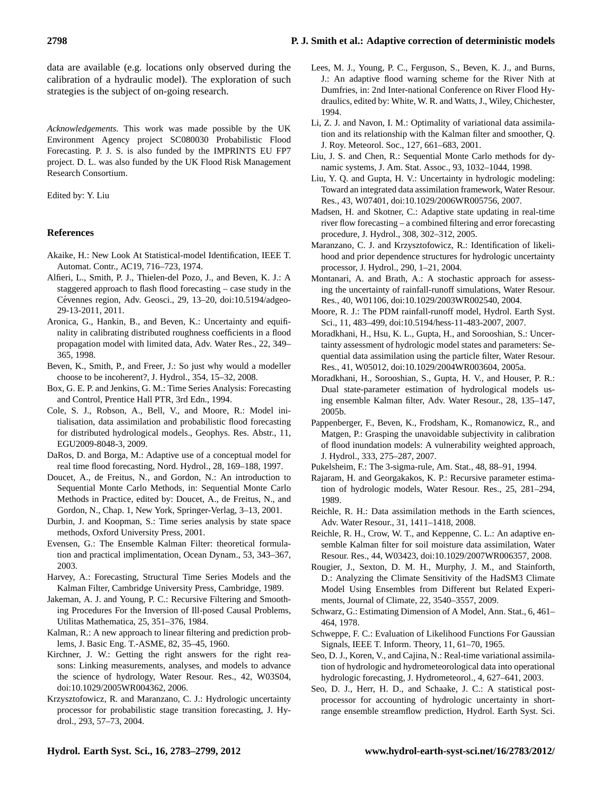data are available (e.g. locations only observed during the calibration of a hydraulic model). The exploration of such strategies is the subject of on-going research.

*Acknowledgements.* This work was made possible by the UK Environment Agency project SC080030 Probabilistic Flood Forecasting. P. J. S. is also funded by the IMPRINTS EU FP7 project. D. L. was also funded by the UK Flood Risk Management Research Consortium.

Edited by: Y. Liu

#### **References**

- <span id="page-15-32"></span>Akaike, H.: New Look At Statistical-model Identification, IEEE T. Automat. Contr., AC19, 716–723, 1974.
- <span id="page-15-34"></span>Alfieri, L., Smith, P. J., Thielen-del Pozo, J., and Beven, K. J.: A staggered approach to flash flood forecasting – case study in the Cévennes region, Adv. Geosci., 29, 13-20, [doi:10.5194/adgeo-](http://dx.doi.org/10.5194/adgeo-29-13-2011)[29-13-2011,](http://dx.doi.org/10.5194/adgeo-29-13-2011) 2011.
- <span id="page-15-0"></span>Aronica, G., Hankin, B., and Beven, K.: Uncertainty and equifinality in calibrating distributed roughness coefficients in a flood propagation model with limited data, Adv. Water Res., 22, 349– 365, 1998.
- <span id="page-15-16"></span>Beven, K., Smith, P., and Freer, J.: So just why would a modeller choose to be incoherent?, J. Hydrol., 354, 15–32, 2008.
- <span id="page-15-19"></span>Box, G. E. P. and Jenkins, G. M.: Time Series Analysis: Forecasting and Control, Prentice Hall PTR, 3rd Edn., 1994.
- <span id="page-15-2"></span>Cole, S. J., Robson, A., Bell, V., and Moore, R.: Model initialisation, data assimilation and probabilistic flood forecasting for distributed hydrological models., Geophys. Res. Abstr., 11, EGU2009-8048-3, 2009.
- <span id="page-15-8"></span>DaRos, D. and Borga, M.: Adaptive use of a conceptual model for real time flood forecasting, Nord. Hydrol., 28, 169–188, 1997.
- <span id="page-15-6"></span>Doucet, A., de Freitus, N., and Gordon, N.: An introduction to Sequential Monte Carlo Methods, in: Sequential Monte Carlo Methods in Practice, edited by: Doucet, A., de Freitus, N., and Gordon, N., Chap. 1, New York, Springer-Verlag, 3–13, 2001.
- <span id="page-15-29"></span>Durbin, J. and Koopman, S.: Time series analysis by state space methods, Oxford University Press, 2001.
- <span id="page-15-9"></span>Evensen, G.: The Ensemble Kalman Filter: theoretical formulation and practical implimentation, Ocean Dynam., 53, 343–367, 2003.
- <span id="page-15-26"></span>Harvey, A.: Forecasting, Structural Time Series Models and the Kalman Filter, Cambridge University Press, Cambridge, 1989.
- <span id="page-15-27"></span>Jakeman, A. J. and Young, P. C.: Recursive Filtering and Smoothing Procedures For the Inversion of Ill-posed Causal Problems, Utilitas Mathematica, 25, 351–376, 1984.
- <span id="page-15-28"></span>Kalman, R.: A new approach to linear filtering and prediction problems, J. Basic Eng. T.-ASME, 82, 35–45, 1960.
- <span id="page-15-17"></span>Kirchner, J. W.: Getting the right answers for the right reasons: Linking measurements, analyses, and models to advance the science of hydrology, Water Resour. Res., 42, W03S04, [doi:10.1029/2005WR004362,](http://dx.doi.org/10.1029/2005WR004362) 2006.
- <span id="page-15-20"></span>Krzysztofowicz, R. and Maranzano, C. J.: Hydrologic uncertainty processor for probabilistic stage transition forecasting, J. Hydrol., 293, 57–73, 2004.
- <span id="page-15-25"></span>Lees, M. J., Young, P. C., Ferguson, S., Beven, K. J., and Burns, J.: An adaptive flood warning scheme for the River Nith at Dumfries, in: 2nd Inter-national Conference on River Flood Hydraulics, edited by: White, W. R. and Watts, J., Wiley, Chichester, 1994.
- <span id="page-15-12"></span>Li, Z. J. and Navon, I. M.: Optimality of variational data assimilation and its relationship with the Kalman filter and smoother, Q. J. Roy. Meteorol. Soc., 127, 661–683, 2001.
- <span id="page-15-15"></span>Liu, J. S. and Chen, R.: Sequential Monte Carlo methods for dynamic systems, J. Am. Stat. Assoc., 93, 1032–1044, 1998.
- <span id="page-15-4"></span>Liu, Y. Q. and Gupta, H. V.: Uncertainty in hydrologic modeling: Toward an integrated data assimilation framework, Water Resour. Res., 43, W07401, [doi:10.1029/2006WR005756,](http://dx.doi.org/10.1029/2006WR005756) 2007.
- <span id="page-15-13"></span>Madsen, H. and Skotner, C.: Adaptive state updating in real-time river flow forecasting – a combined filtering and error forecasting procedure, J. Hydrol., 308, 302–312, 2005.
- <span id="page-15-21"></span>Maranzano, C. J. and Krzysztofowicz, R.: Identification of likelihood and prior dependence structures for hydrologic uncertainty processor, J. Hydrol., 290, 1–21, 2004.
- <span id="page-15-22"></span>Montanari, A. and Brath, A.: A stochastic approach for assessing the uncertainty of rainfall-runoff simulations, Water Resour. Res., 40, W01106, [doi:10.1029/2003WR002540,](http://dx.doi.org/10.1029/2003WR002540) 2004.
- <span id="page-15-3"></span>Moore, R. J.: The PDM rainfall-runoff model, Hydrol. Earth Syst. Sci., 11, 483–499, [doi:10.5194/hess-11-483-2007,](http://dx.doi.org/10.5194/hess-11-483-2007) 2007.
- <span id="page-15-7"></span>Moradkhani, H., Hsu, K. L., Gupta, H., and Sorooshian, S.: Uncertainty assessment of hydrologic model states and parameters: Sequential data assimilation using the particle filter, Water Resour. Res., 41, W05012, [doi:10.1029/2004WR003604,](http://dx.doi.org/10.1029/2004WR003604) 2005a.
- <span id="page-15-10"></span>Moradkhani, H., Sorooshian, S., Gupta, H. V., and Houser, P. R.: Dual state-parameter estimation of hydrological models using ensemble Kalman filter, Adv. Water Resour., 28, 135–147, 2005b.
- <span id="page-15-1"></span>Pappenberger, F., Beven, K., Frodsham, K., Romanowicz, R., and Matgen, P.: Grasping the unavoidable subjectivity in calibration of flood inundation models: A vulnerability weighted approach, J. Hydrol., 333, 275–287, 2007.
- <span id="page-15-31"></span>Pukelsheim, F.: The 3-sigma-rule, Am. Stat., 48, 88–91, 1994.
- <span id="page-15-5"></span>Rajaram, H. and Georgakakos, K. P.: Recursive parameter estimation of hydrologic models, Water Resour. Res., 25, 281-294, 1989.
- <span id="page-15-18"></span>Reichle, R. H.: Data assimilation methods in the Earth sciences, Adv. Water Resour., 31, 1411–1418, 2008.
- <span id="page-15-11"></span>Reichle, R. H., Crow, W. T., and Keppenne, C. L.: An adaptive ensemble Kalman filter for soil moisture data assimilation, Water Resour. Res., 44, W03423, [doi:10.1029/2007WR006357,](http://dx.doi.org/10.1029/2007WR006357) 2008.
- <span id="page-15-24"></span>Rougier, J., Sexton, D. M. H., Murphy, J. M., and Stainforth, D.: Analyzing the Climate Sensitivity of the HadSM3 Climate Model Using Ensembles from Different but Related Experiments, Journal of Climate, 22, 3540–3557, 2009.
- <span id="page-15-33"></span>Schwarz, G.: Estimating Dimension of A Model, Ann. Stat., 6, 461– 464, 1978.
- <span id="page-15-30"></span>Schweppe, F. C.: Evaluation of Likelihood Functions For Gaussian Signals, IEEE T. Inform. Theory, 11, 61–70, 1965.
- <span id="page-15-14"></span>Seo, D. J., Koren, V., and Cajina, N.: Real-time variational assimilation of hydrologic and hydrometeorological data into operational hydrologic forecasting, J. Hydrometeorol., 4, 627–641, 2003.
- <span id="page-15-23"></span>Seo, D. J., Herr, H. D., and Schaake, J. C.: A statistical postprocessor for accounting of hydrologic uncertainty in shortrange ensemble streamflow prediction, Hydrol. Earth Syst. Sci.